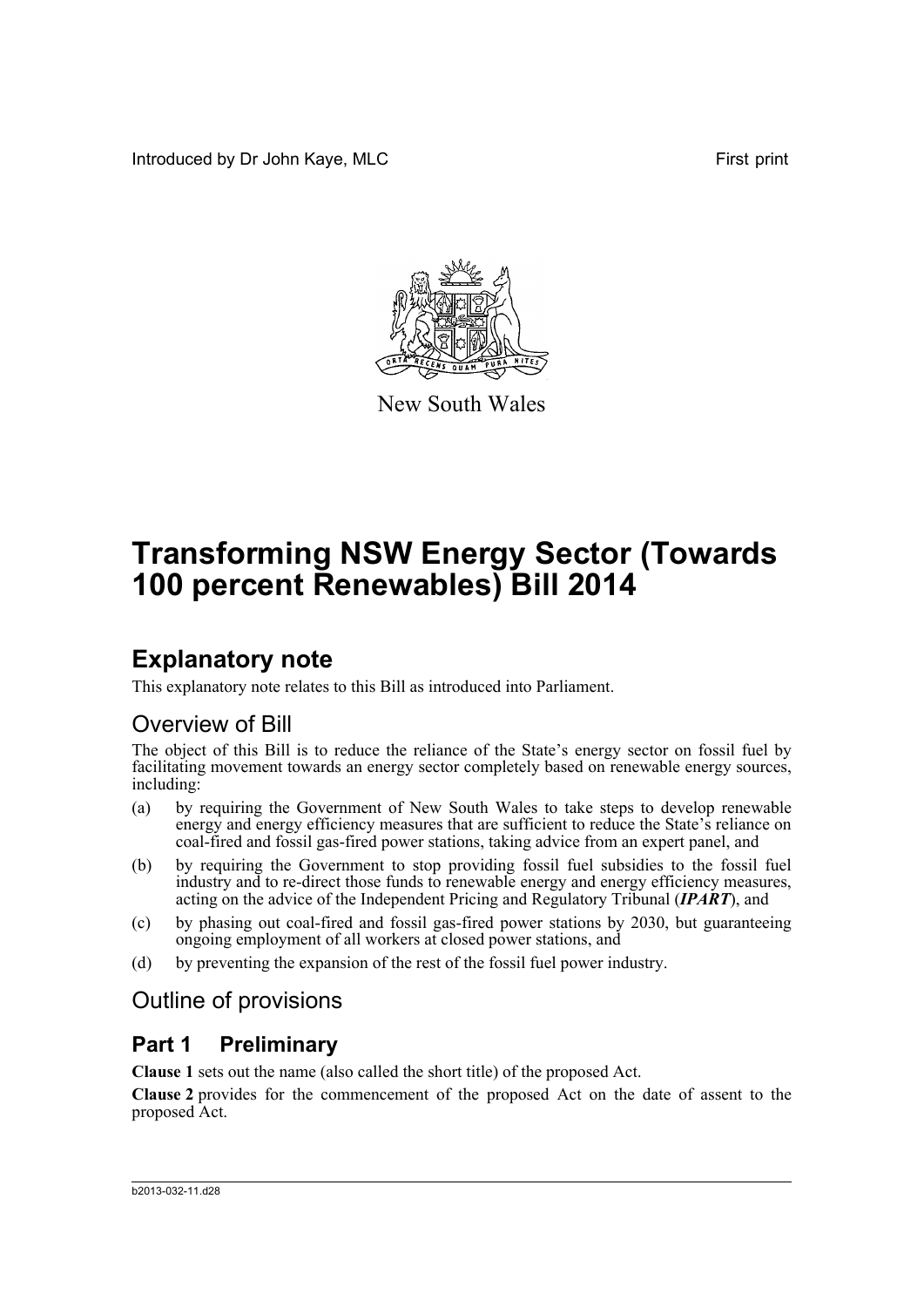Introduced by Dr John Kaye, MLC First print



New South Wales

# **Transforming NSW Energy Sector (Towards 100 percent Renewables) Bill 2014**

# **Explanatory note**

This explanatory note relates to this Bill as introduced into Parliament.

## Overview of Bill

The object of this Bill is to reduce the reliance of the State's energy sector on fossil fuel by facilitating movement towards an energy sector completely based on renewable energy sources, including:

- (a) by requiring the Government of New South Wales to take steps to develop renewable energy and energy efficiency measures that are sufficient to reduce the State's reliance on coal-fired and fossil gas-fired power stations, taking advice from an expert panel, and
- (b) by requiring the Government to stop providing fossil fuel subsidies to the fossil fuel industry and to re-direct those funds to renewable energy and energy efficiency measures, acting on the advice of the Independent Pricing and Regulatory Tribunal (*IPART*), and
- (c) by phasing out coal-fired and fossil gas-fired power stations by 2030, but guaranteeing ongoing employment of all workers at closed power stations, and
- (d) by preventing the expansion of the rest of the fossil fuel power industry.

## Outline of provisions

## **Part 1 Preliminary**

**Clause 1** sets out the name (also called the short title) of the proposed Act.

**Clause 2** provides for the commencement of the proposed Act on the date of assent to the proposed Act.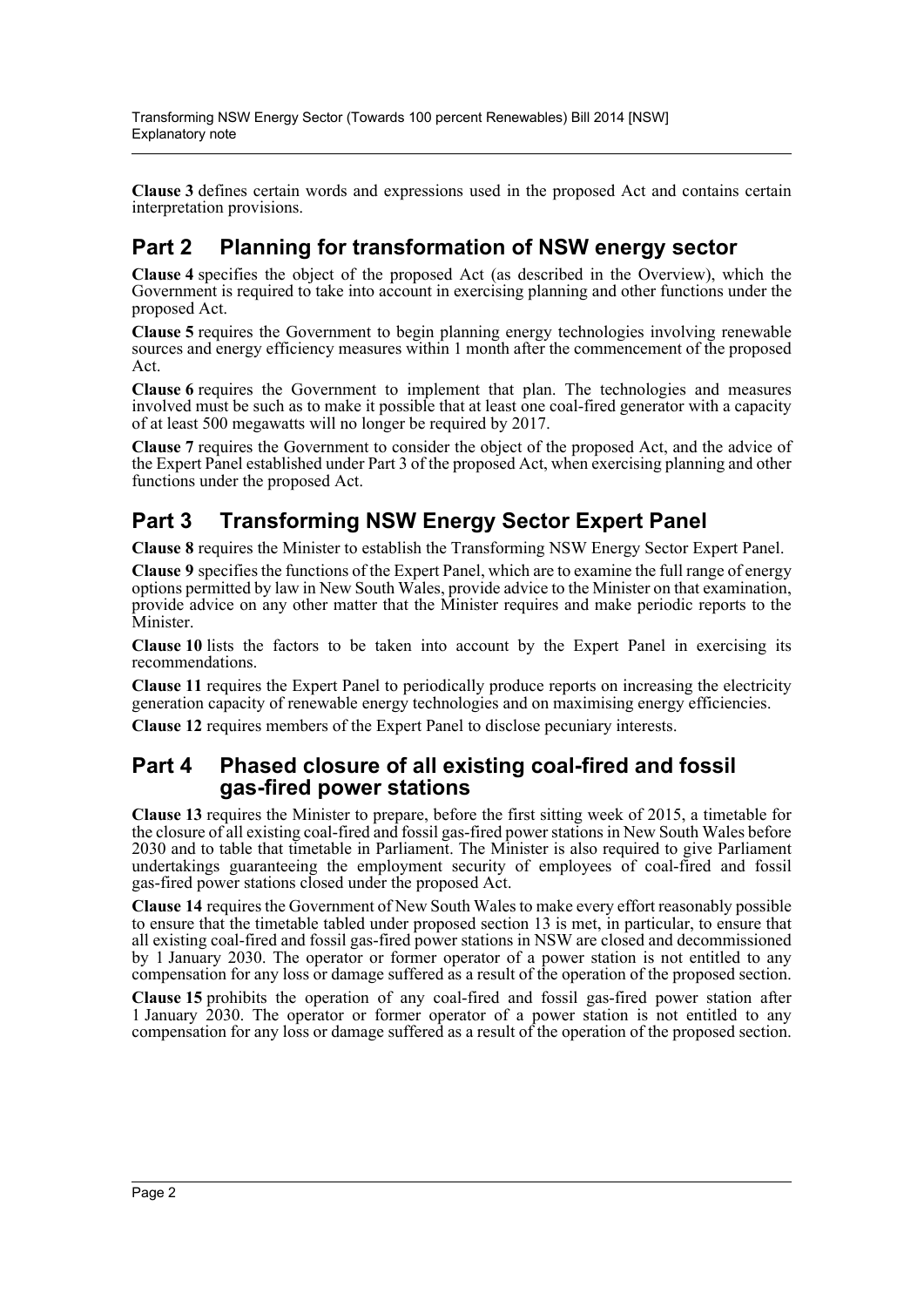**Clause 3** defines certain words and expressions used in the proposed Act and contains certain interpretation provisions.

## **Part 2 Planning for transformation of NSW energy sector**

**Clause 4** specifies the object of the proposed Act (as described in the Overview), which the Government is required to take into account in exercising planning and other functions under the proposed Act.

**Clause 5** requires the Government to begin planning energy technologies involving renewable sources and energy efficiency measures within 1 month after the commencement of the proposed Act.

**Clause 6** requires the Government to implement that plan. The technologies and measures involved must be such as to make it possible that at least one coal-fired generator with a capacity of at least 500 megawatts will no longer be required by 2017.

**Clause 7** requires the Government to consider the object of the proposed Act, and the advice of the Expert Panel established under Part 3 of the proposed Act, when exercising planning and other functions under the proposed Act.

## **Part 3 Transforming NSW Energy Sector Expert Panel**

**Clause 8** requires the Minister to establish the Transforming NSW Energy Sector Expert Panel.

**Clause 9** specifies the functions of the Expert Panel, which are to examine the full range of energy options permitted by law in New South Wales, provide advice to the Minister on that examination, provide advice on any other matter that the Minister requires and make periodic reports to the **Minister** 

**Clause 10** lists the factors to be taken into account by the Expert Panel in exercising its recommendations.

**Clause 11** requires the Expert Panel to periodically produce reports on increasing the electricity generation capacity of renewable energy technologies and on maximising energy efficiencies.

**Clause 12** requires members of the Expert Panel to disclose pecuniary interests.

### **Part 4 Phased closure of all existing coal-fired and fossil gas-fired power stations**

**Clause 13** requires the Minister to prepare, before the first sitting week of 2015, a timetable for the closure of all existing coal-fired and fossil gas-fired power stations in New South Wales before 2030 and to table that timetable in Parliament. The Minister is also required to give Parliament undertakings guaranteeing the employment security of employees of coal-fired and fossil gas-fired power stations closed under the proposed Act.

**Clause 14** requires the Government of New South Wales to make every effort reasonably possible to ensure that the timetable tabled under proposed section 13 is met, in particular, to ensure that all existing coal-fired and fossil gas-fired power stations in NSW are closed and decommissioned by 1 January 2030. The operator or former operator of a power station is not entitled to any compensation for any loss or damage suffered as a result of the operation of the proposed section.

**Clause 15** prohibits the operation of any coal-fired and fossil gas-fired power station after 1 January 2030. The operator or former operator of a power station is not entitled to any compensation for any loss or damage suffered as a result of the operation of the proposed section.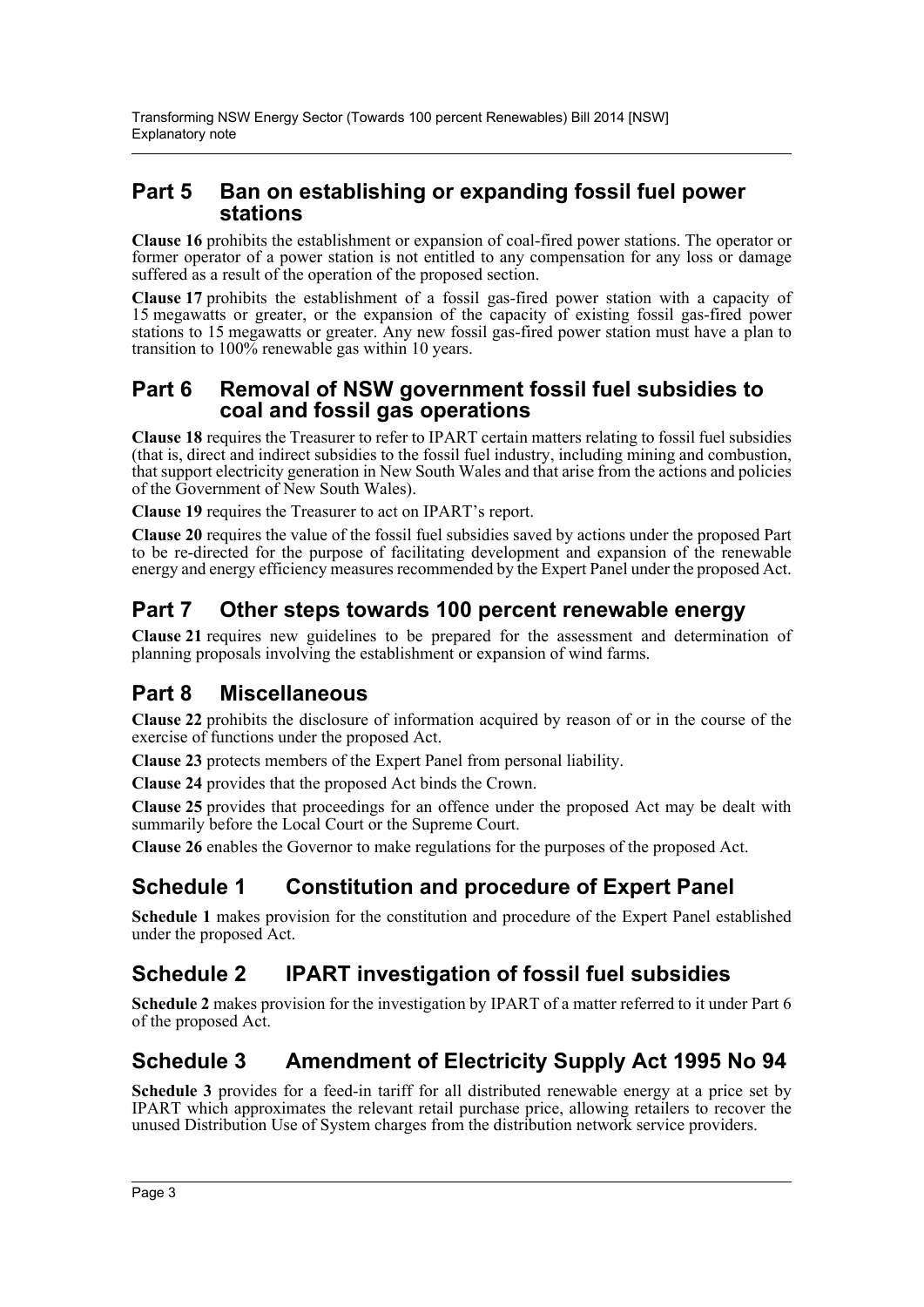### **Part 5 Ban on establishing or expanding fossil fuel power stations**

**Clause 16** prohibits the establishment or expansion of coal-fired power stations. The operator or former operator of a power station is not entitled to any compensation for any loss or damage suffered as a result of the operation of the proposed section.

**Clause 17** prohibits the establishment of a fossil gas-fired power station with a capacity of 15 megawatts or greater, or the expansion of the capacity of existing fossil gas-fired power stations to 15 megawatts or greater. Any new fossil gas-fired power station must have a plan to transition to 100% renewable gas within 10 years.

### **Part 6 Removal of NSW government fossil fuel subsidies to coal and fossil gas operations**

**Clause 18** requires the Treasurer to refer to IPART certain matters relating to fossil fuel subsidies (that is, direct and indirect subsidies to the fossil fuel industry, including mining and combustion, that support electricity generation in New South Wales and that arise from the actions and policies of the Government of New South Wales).

**Clause 19** requires the Treasurer to act on IPART's report.

**Clause 20** requires the value of the fossil fuel subsidies saved by actions under the proposed Part to be re-directed for the purpose of facilitating development and expansion of the renewable energy and energy efficiency measures recommended by the Expert Panel under the proposed Act.

## **Part 7 Other steps towards 100 percent renewable energy**

**Clause 21** requires new guidelines to be prepared for the assessment and determination of planning proposals involving the establishment or expansion of wind farms.

## **Part 8 Miscellaneous**

**Clause 22** prohibits the disclosure of information acquired by reason of or in the course of the exercise of functions under the proposed Act.

**Clause 23** protects members of the Expert Panel from personal liability.

**Clause 24** provides that the proposed Act binds the Crown.

**Clause 25** provides that proceedings for an offence under the proposed Act may be dealt with summarily before the Local Court or the Supreme Court.

**Clause 26** enables the Governor to make regulations for the purposes of the proposed Act.

## **Schedule 1 Constitution and procedure of Expert Panel**

**Schedule 1** makes provision for the constitution and procedure of the Expert Panel established under the proposed Act.

## **Schedule 2 IPART investigation of fossil fuel subsidies**

**Schedule 2** makes provision for the investigation by IPART of a matter referred to it under Part 6 of the proposed Act.

## **Schedule 3 Amendment of Electricity Supply Act 1995 No 94**

**Schedule 3** provides for a feed-in tariff for all distributed renewable energy at a price set by IPART which approximates the relevant retail purchase price, allowing retailers to recover the unused Distribution Use of System charges from the distribution network service providers.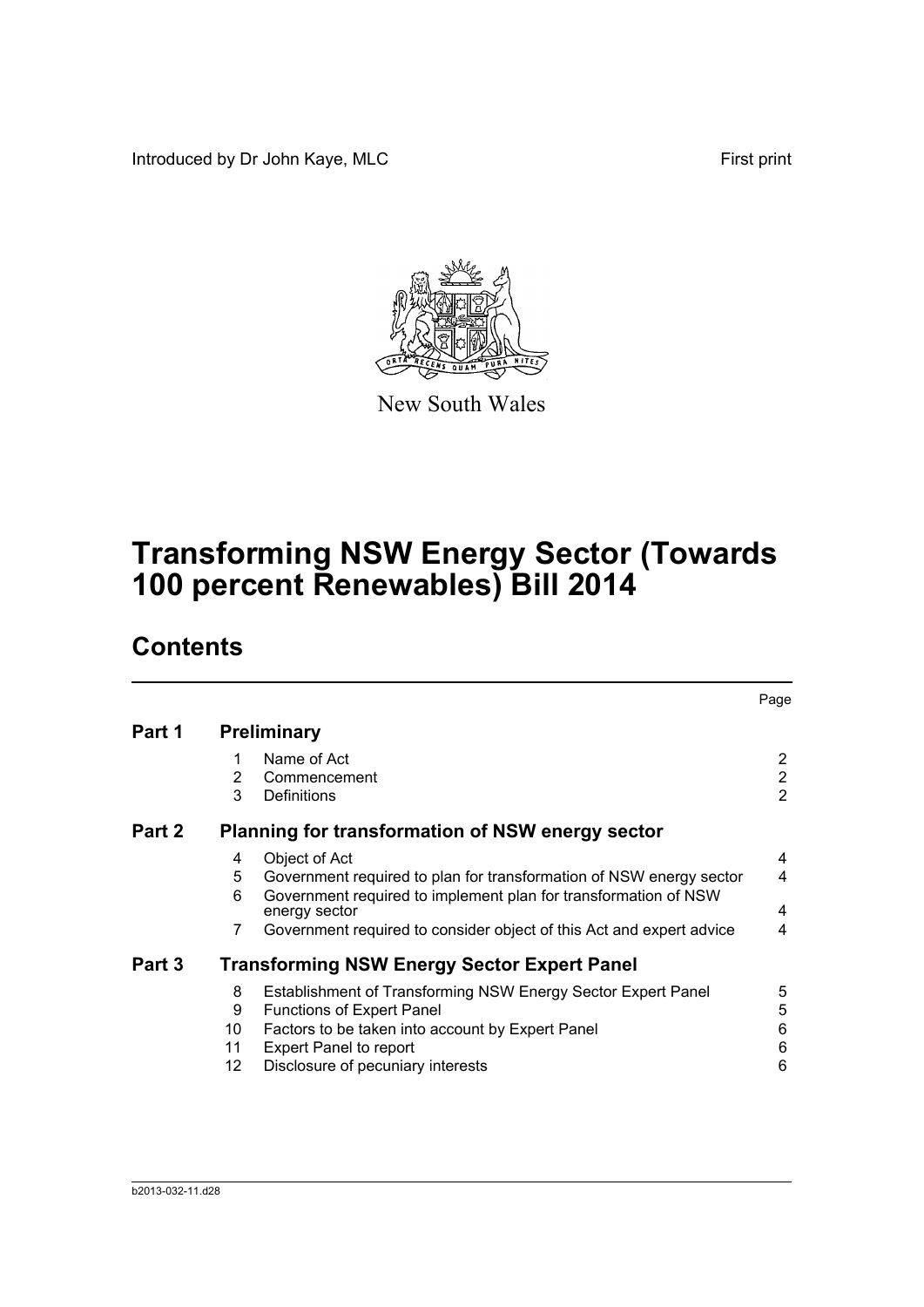Introduced by Dr John Kaye, MLC First print



New South Wales

# **Transforming NSW Energy Sector (Towards 100 percent Renewables) Bill 2014**

# **Contents**

|        |                          |                                                                                                                                                                                                                                                  | Page                                               |
|--------|--------------------------|--------------------------------------------------------------------------------------------------------------------------------------------------------------------------------------------------------------------------------------------------|----------------------------------------------------|
| Part 1 |                          | <b>Preliminary</b>                                                                                                                                                                                                                               |                                                    |
|        | 1<br>2<br>3              | Name of Act<br>Commencement<br>Definitions                                                                                                                                                                                                       | $\overline{2}$<br>$\overline{2}$<br>$\overline{2}$ |
| Part 2 |                          | Planning for transformation of NSW energy sector                                                                                                                                                                                                 |                                                    |
|        | 4<br>5<br>6<br>7         | Object of Act<br>Government required to plan for transformation of NSW energy sector<br>Government required to implement plan for transformation of NSW<br>energy sector<br>Government required to consider object of this Act and expert advice | 4<br>4<br>4<br>4                                   |
| Part 3 |                          | <b>Transforming NSW Energy Sector Expert Panel</b>                                                                                                                                                                                               |                                                    |
|        | 8<br>9<br>10<br>11<br>12 | Establishment of Transforming NSW Energy Sector Expert Panel<br>Functions of Expert Panel<br>Factors to be taken into account by Expert Panel<br><b>Expert Panel to report</b><br>Disclosure of pecuniary interests                              | 5<br>5<br>6<br>6<br>6                              |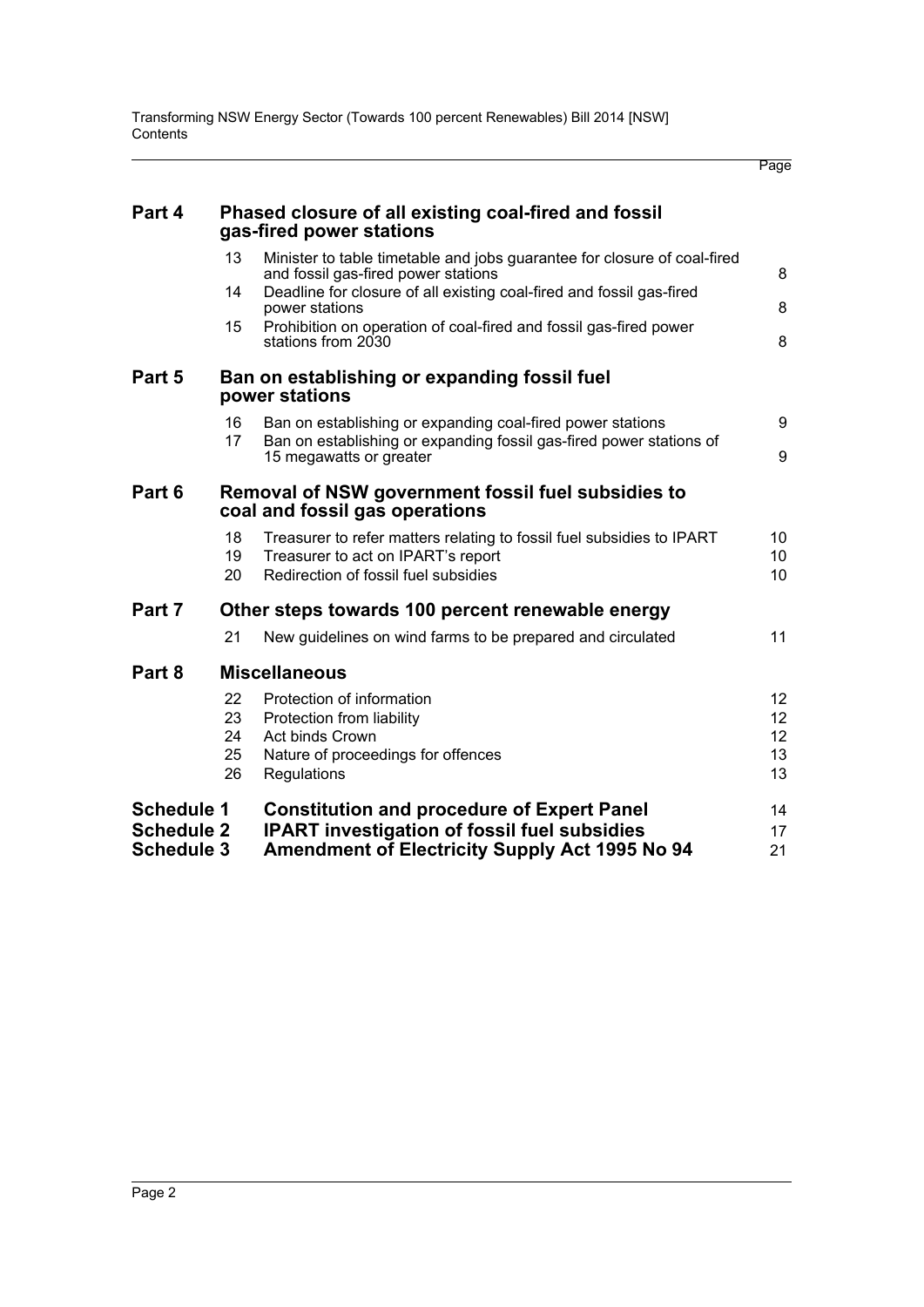Page

| Part 4            |                | Phased closure of all existing coal-fired and fossil<br>gas-fired power stations                                                                    |                       |
|-------------------|----------------|-----------------------------------------------------------------------------------------------------------------------------------------------------|-----------------------|
|                   | 13             | Minister to table timetable and jobs guarantee for closure of coal-fired<br>and fossil gas-fired power stations                                     | 8                     |
|                   | 14             | Deadline for closure of all existing coal-fired and fossil gas-fired<br>power stations                                                              | 8                     |
|                   | 15             | Prohibition on operation of coal-fired and fossil gas-fired power<br>stations from 2030                                                             | 8                     |
| Part 5            |                | Ban on establishing or expanding fossil fuel<br>power stations                                                                                      |                       |
|                   | 16             | Ban on establishing or expanding coal-fired power stations                                                                                          | 9                     |
|                   | 17             | Ban on establishing or expanding fossil gas-fired power stations of<br>15 megawatts or greater                                                      | 9                     |
| Part 6            |                | Removal of NSW government fossil fuel subsidies to<br>coal and fossil gas operations                                                                |                       |
|                   | 18<br>19<br>20 | Treasurer to refer matters relating to fossil fuel subsidies to IPART<br>Treasurer to act on IPART's report<br>Redirection of fossil fuel subsidies | 10<br>10<br>10        |
| Part 7            |                | Other steps towards 100 percent renewable energy                                                                                                    |                       |
|                   | 21             | New guidelines on wind farms to be prepared and circulated                                                                                          | 11                    |
| Part 8            |                | <b>Miscellaneous</b>                                                                                                                                |                       |
|                   | 22             | Protection of information                                                                                                                           | 12 <sup>°</sup>       |
|                   | 23             | Protection from liability                                                                                                                           | 12 <sub>2</sub>       |
|                   | 24<br>25       | Act binds Crown<br>Nature of proceedings for offences                                                                                               | 12 <sub>2</sub><br>13 |
|                   | 26             | Regulations                                                                                                                                         | 13                    |
| <b>Schedule 1</b> |                | <b>Constitution and procedure of Expert Panel</b>                                                                                                   | 14                    |
| <b>Schedule 2</b> |                | <b>IPART</b> investigation of fossil fuel subsidies                                                                                                 | 17                    |
| <b>Schedule 3</b> |                | Amendment of Electricity Supply Act 1995 No 94                                                                                                      | 21                    |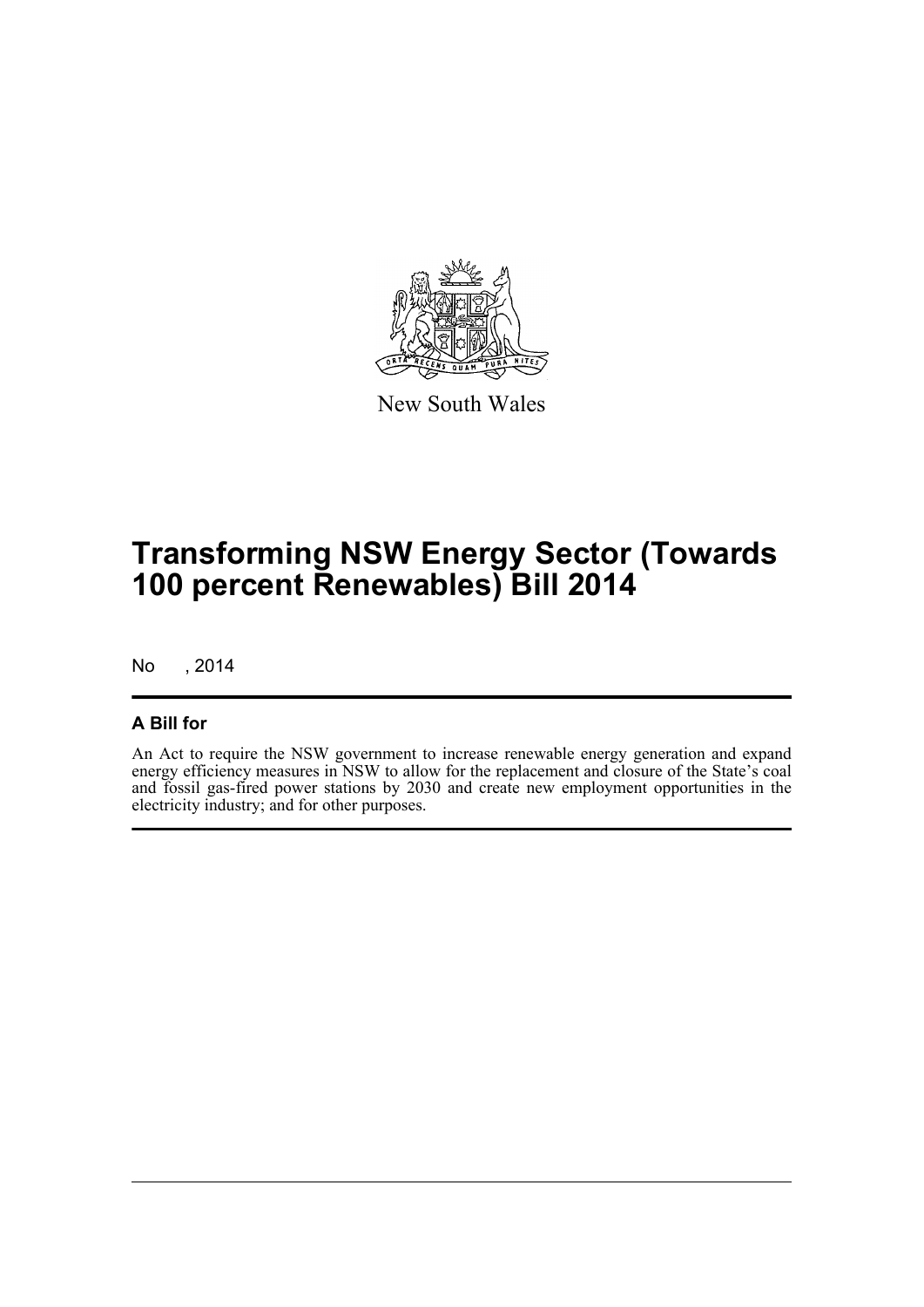

New South Wales

# **Transforming NSW Energy Sector (Towards 100 percent Renewables) Bill 2014**

No , 2014

### **A Bill for**

An Act to require the NSW government to increase renewable energy generation and expand energy efficiency measures in NSW to allow for the replacement and closure of the State's coal and fossil gas-fired power stations by 2030 and create new employment opportunities in the electricity industry; and for other purposes.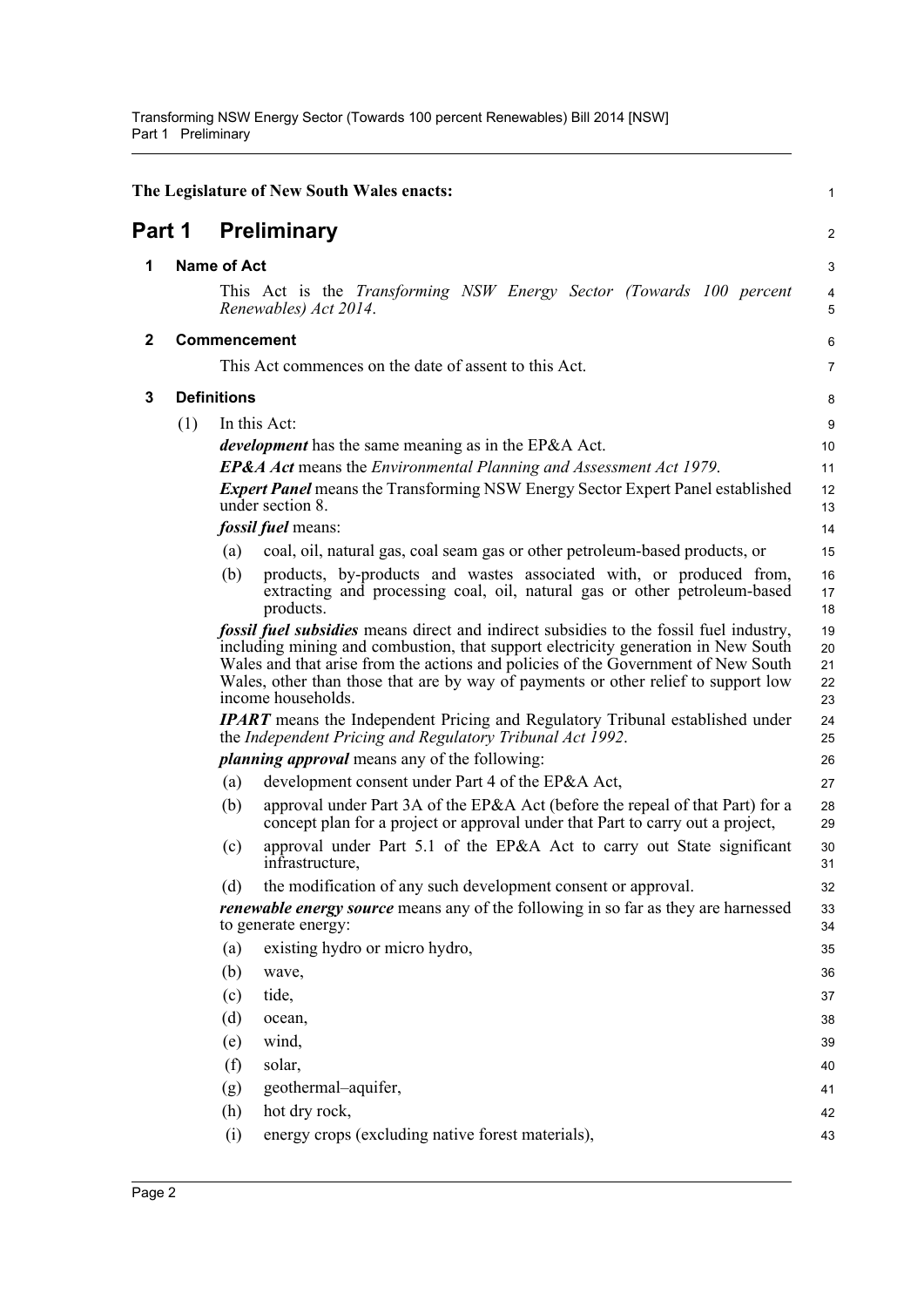<span id="page-6-3"></span><span id="page-6-2"></span><span id="page-6-1"></span><span id="page-6-0"></span>

|              |     |                    | The Legislature of New South Wales enacts:                                                                                                                                                                                                                                                                                                                                          | 1                          |
|--------------|-----|--------------------|-------------------------------------------------------------------------------------------------------------------------------------------------------------------------------------------------------------------------------------------------------------------------------------------------------------------------------------------------------------------------------------|----------------------------|
| Part 1       |     |                    | <b>Preliminary</b>                                                                                                                                                                                                                                                                                                                                                                  | $\overline{\mathbf{c}}$    |
| 1            |     | <b>Name of Act</b> |                                                                                                                                                                                                                                                                                                                                                                                     | 3                          |
|              |     |                    | This Act is the Transforming NSW Energy Sector (Towards 100 percent<br>Renewables) Act 2014.                                                                                                                                                                                                                                                                                        | 4<br>5                     |
| $\mathbf{2}$ |     |                    | <b>Commencement</b>                                                                                                                                                                                                                                                                                                                                                                 | 6                          |
|              |     |                    | This Act commences on the date of assent to this Act.                                                                                                                                                                                                                                                                                                                               | 7                          |
| 3            |     | <b>Definitions</b> |                                                                                                                                                                                                                                                                                                                                                                                     | 8                          |
|              | (1) |                    | In this Act:                                                                                                                                                                                                                                                                                                                                                                        | 9                          |
|              |     |                    | <i>development</i> has the same meaning as in the EP&A Act.                                                                                                                                                                                                                                                                                                                         | 10                         |
|              |     |                    | <b>EP&amp;A Act</b> means the <i>Environmental Planning and Assessment Act 1979</i> .                                                                                                                                                                                                                                                                                               | 11                         |
|              |     |                    | <b>Expert Panel means the Transforming NSW Energy Sector Expert Panel established</b><br>under section 8.                                                                                                                                                                                                                                                                           | 12<br>13                   |
|              |     |                    | <i>fossil fuel</i> means:                                                                                                                                                                                                                                                                                                                                                           | 14                         |
|              |     | (a)                | coal, oil, natural gas, coal seam gas or other petroleum-based products, or                                                                                                                                                                                                                                                                                                         | 15                         |
|              |     | (b)                | products, by-products and wastes associated with, or produced from,<br>extracting and processing coal, oil, natural gas or other petroleum-based<br>products.                                                                                                                                                                                                                       | 16<br>17<br>18             |
|              |     |                    | <i>fossil fuel subsidies</i> means direct and indirect subsidies to the fossil fuel industry,<br>including mining and combustion, that support electricity generation in New South<br>Wales and that arise from the actions and policies of the Government of New South<br>Wales, other than those that are by way of payments or other relief to support low<br>income households. | 19<br>20<br>21<br>22<br>23 |
|              |     |                    | <b>IPART</b> means the Independent Pricing and Regulatory Tribunal established under<br>the Independent Pricing and Regulatory Tribunal Act 1992.                                                                                                                                                                                                                                   | 24<br>25                   |
|              |     |                    | <i>planning approval</i> means any of the following:                                                                                                                                                                                                                                                                                                                                | 26                         |
|              |     | (a)                | development consent under Part 4 of the EP&A Act,                                                                                                                                                                                                                                                                                                                                   | 27                         |
|              |     | (b)                | approval under Part 3A of the EP&A Act (before the repeal of that Part) for a<br>concept plan for a project or approval under that Part to carry out a project,                                                                                                                                                                                                                     | 28<br>29                   |
|              |     | (c)                | approval under Part 5.1 of the EP&A Act to carry out State significant<br>infrastructure,                                                                                                                                                                                                                                                                                           | 30<br>31                   |
|              |     | (d)                | the modification of any such development consent or approval.                                                                                                                                                                                                                                                                                                                       | 32                         |
|              |     |                    | <i>renewable energy source</i> means any of the following in so far as they are harnessed<br>to generate energy:                                                                                                                                                                                                                                                                    | 33<br>34                   |
|              |     | (a)                | existing hydro or micro hydro,                                                                                                                                                                                                                                                                                                                                                      | 35                         |
|              |     | (b)                | wave,                                                                                                                                                                                                                                                                                                                                                                               | 36                         |
|              |     | (c)                | tide,                                                                                                                                                                                                                                                                                                                                                                               | 37                         |
|              |     | (d)                | ocean,                                                                                                                                                                                                                                                                                                                                                                              | 38                         |
|              |     | (e)                | wind,                                                                                                                                                                                                                                                                                                                                                                               | 39                         |
|              |     | (f)                | solar,                                                                                                                                                                                                                                                                                                                                                                              | 40                         |
|              |     | (g)                | geothermal-aquifer,                                                                                                                                                                                                                                                                                                                                                                 | 41                         |
|              |     | (h)                | hot dry rock,                                                                                                                                                                                                                                                                                                                                                                       | 42                         |
|              |     | (i)                | energy crops (excluding native forest materials),                                                                                                                                                                                                                                                                                                                                   | 43                         |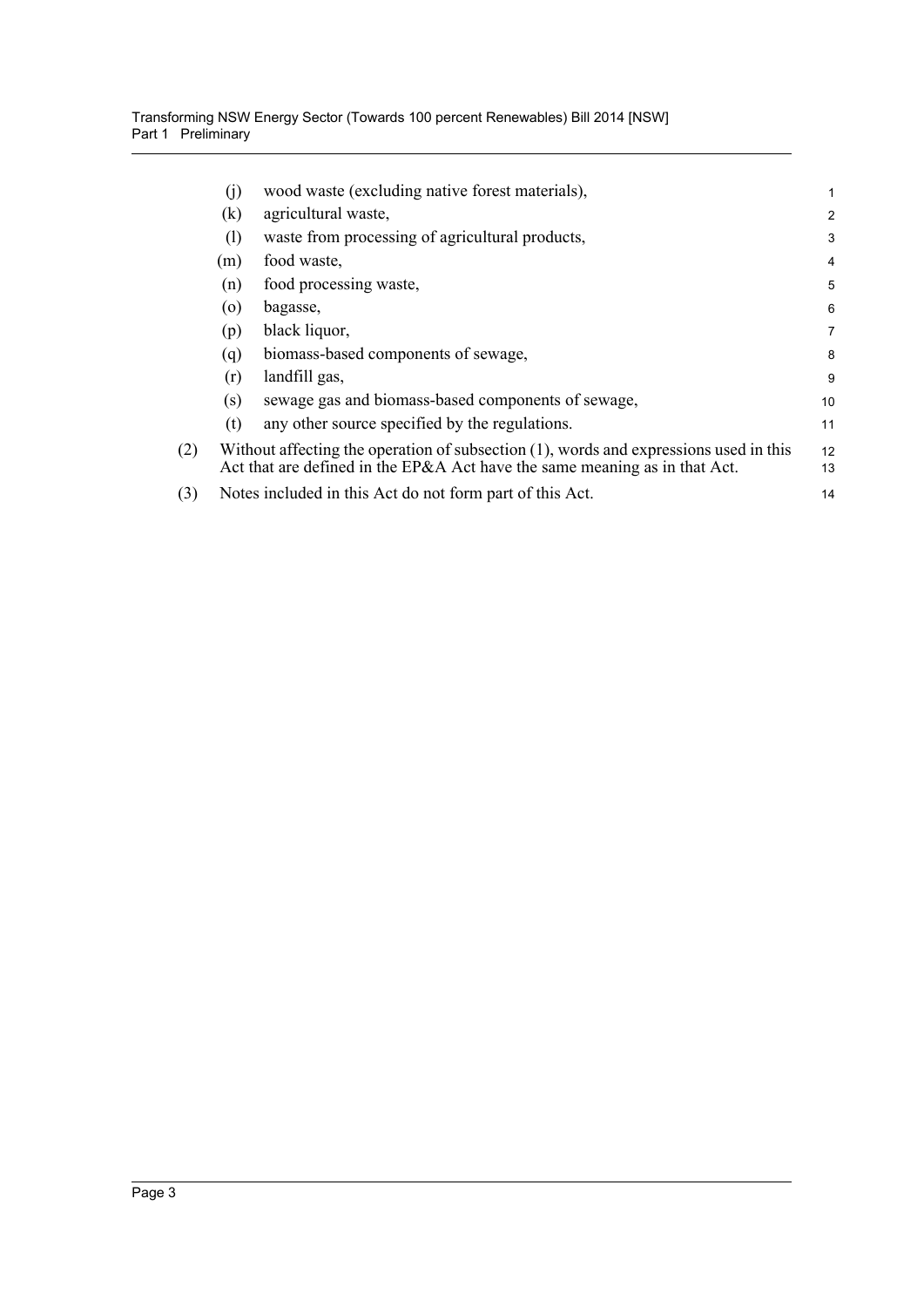|     | (j) | wood waste (excluding native forest materials),                                                                                                                        | 1              |
|-----|-----|------------------------------------------------------------------------------------------------------------------------------------------------------------------------|----------------|
|     | (k) | agricultural waste,                                                                                                                                                    | $\overline{2}$ |
|     | (1) | waste from processing of agricultural products,                                                                                                                        | 3              |
|     | (m) | food waste,                                                                                                                                                            | $\overline{4}$ |
|     | (n) | food processing waste,                                                                                                                                                 | 5              |
|     | (0) | bagasse,                                                                                                                                                               | 6              |
|     | (p) | black liquor,                                                                                                                                                          | 7              |
|     | (q) | biomass-based components of sewage,                                                                                                                                    | 8              |
|     | (r) | landfill gas,                                                                                                                                                          | 9              |
|     | (s) | sewage gas and biomass-based components of sewage,                                                                                                                     | 10             |
|     | (t) | any other source specified by the regulations.                                                                                                                         | 11             |
| (2) |     | Without affecting the operation of subsection $(1)$ , words and expressions used in this<br>Act that are defined in the EP&A Act have the same meaning as in that Act. | 12<br>13       |
| (3) |     | Notes included in this Act do not form part of this Act.                                                                                                               | 14             |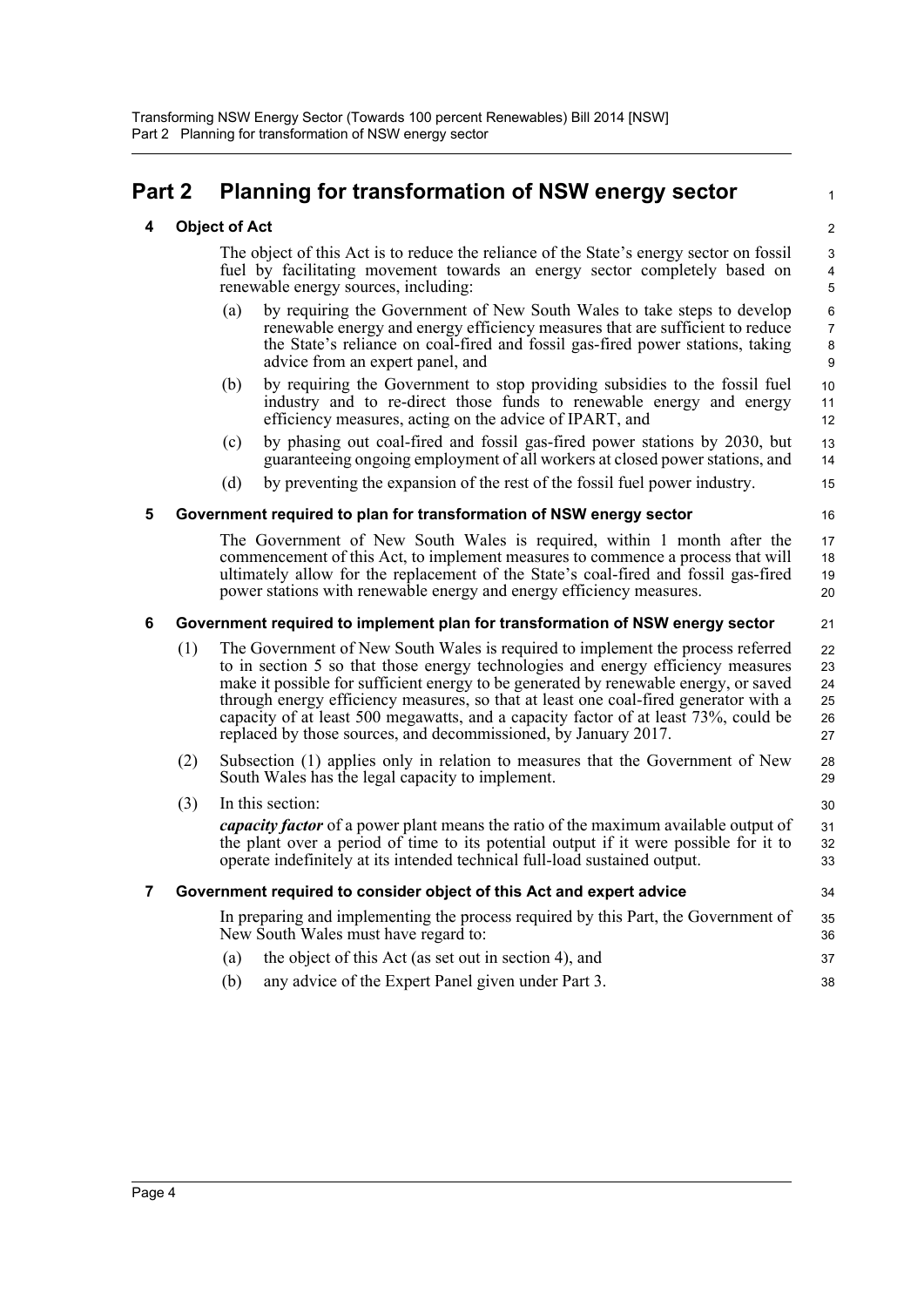## <span id="page-8-1"></span><span id="page-8-0"></span>**Part 2 Planning for transformation of NSW energy sector**

### **4 Object of Act**

The object of this Act is to reduce the reliance of the State's energy sector on fossil fuel by facilitating movement towards an energy sector completely based on renewable energy sources, including:

1

21

28 29

34

- (a) by requiring the Government of New South Wales to take steps to develop renewable energy and energy efficiency measures that are sufficient to reduce the State's reliance on coal-fired and fossil gas-fired power stations, taking advice from an expert panel, and
- (b) by requiring the Government to stop providing subsidies to the fossil fuel industry and to re-direct those funds to renewable energy and energy efficiency measures, acting on the advice of IPART, and
- (c) by phasing out coal-fired and fossil gas-fired power stations by 2030, but guaranteeing ongoing employment of all workers at closed power stations, and
- (d) by preventing the expansion of the rest of the fossil fuel power industry.

### <span id="page-8-2"></span>**5 Government required to plan for transformation of NSW energy sector**

The Government of New South Wales is required, within 1 month after the commencement of this Act, to implement measures to commence a process that will ultimately allow for the replacement of the State's coal-fired and fossil gas-fired power stations with renewable energy and energy efficiency measures. 17 18 19 20

### <span id="page-8-3"></span>**6 Government required to implement plan for transformation of NSW energy sector**

- (1) The Government of New South Wales is required to implement the process referred to in section 5 so that those energy technologies and energy efficiency measures make it possible for sufficient energy to be generated by renewable energy, or saved through energy efficiency measures, so that at least one coal-fired generator with a capacity of at least 500 megawatts, and a capacity factor of at least 73%, could be replaced by those sources, and decommissioned, by January 2017. 22 23 24 25 26 27
- (2) Subsection (1) applies only in relation to measures that the Government of New South Wales has the legal capacity to implement.

(3) In this section: *capacity factor* of a power plant means the ratio of the maximum available output of the plant over a period of time to its potential output if it were possible for it to operate indefinitely at its intended technical full-load sustained output. 30 31 32 33

### <span id="page-8-4"></span>**7 Government required to consider object of this Act and expert advice**

In preparing and implementing the process required by this Part, the Government of New South Wales must have regard to: (a) the object of this Act (as set out in section 4), and 35 36 37

(b) any advice of the Expert Panel given under Part 3. 38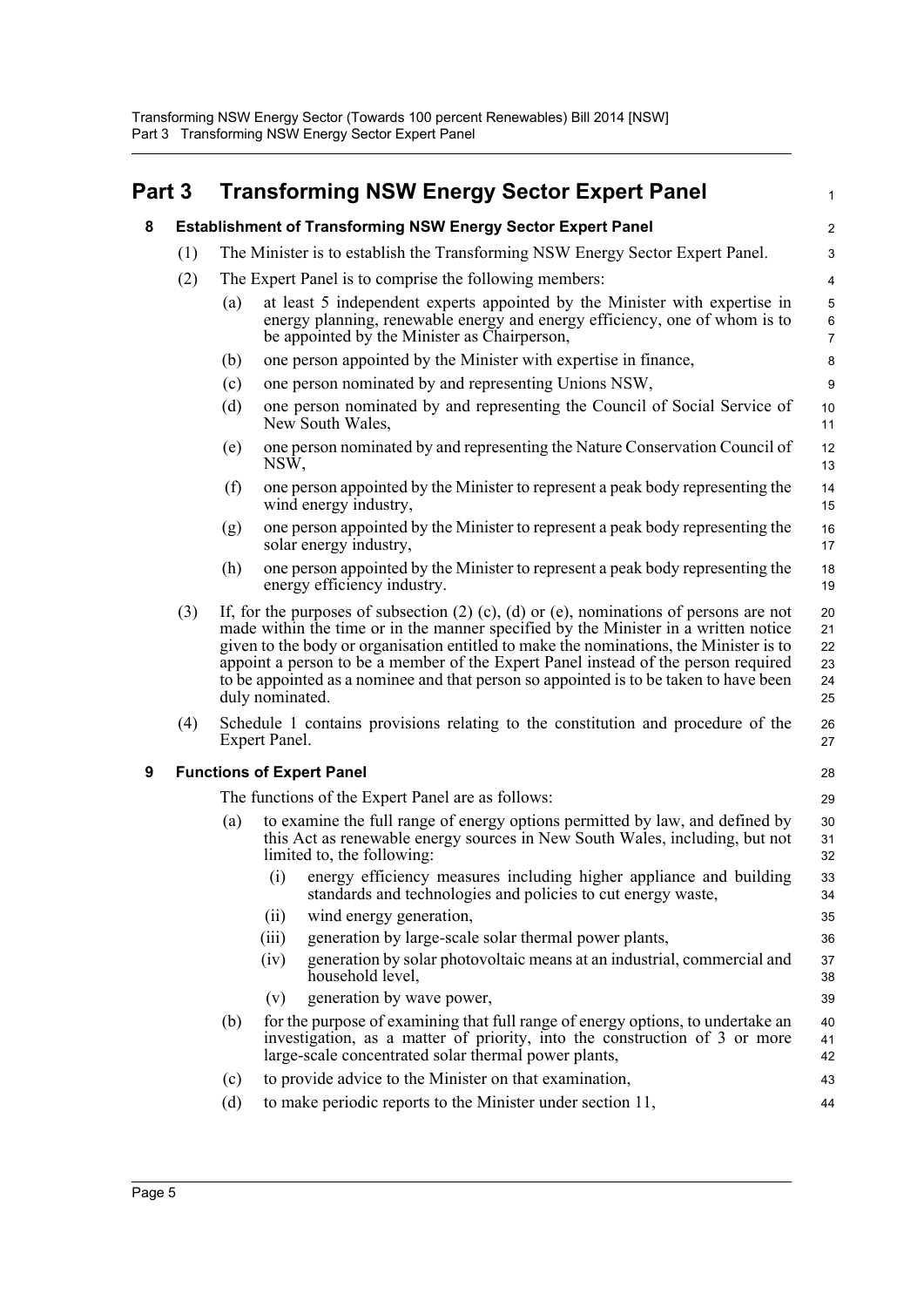<span id="page-9-2"></span><span id="page-9-1"></span><span id="page-9-0"></span>

| Part 3 |     |     |                                                                               | <b>Transforming NSW Energy Sector Expert Panel</b>                                                                                                                                                                                                                                                                                                                                                                                                               | 1                                        |
|--------|-----|-----|-------------------------------------------------------------------------------|------------------------------------------------------------------------------------------------------------------------------------------------------------------------------------------------------------------------------------------------------------------------------------------------------------------------------------------------------------------------------------------------------------------------------------------------------------------|------------------------------------------|
| 8      |     |     |                                                                               | <b>Establishment of Transforming NSW Energy Sector Expert Panel</b>                                                                                                                                                                                                                                                                                                                                                                                              | $\overline{c}$                           |
|        | (1) |     | The Minister is to establish the Transforming NSW Energy Sector Expert Panel. |                                                                                                                                                                                                                                                                                                                                                                                                                                                                  |                                          |
|        | (2) |     |                                                                               | The Expert Panel is to comprise the following members:                                                                                                                                                                                                                                                                                                                                                                                                           | $\overline{4}$                           |
|        |     | (a) |                                                                               | at least 5 independent experts appointed by the Minister with expertise in<br>energy planning, renewable energy and energy efficiency, one of whom is to<br>be appointed by the Minister as Chairperson,                                                                                                                                                                                                                                                         | $\mathbf 5$<br>$\,6\,$<br>$\overline{7}$ |
|        |     | (b) |                                                                               | one person appointed by the Minister with expertise in finance,                                                                                                                                                                                                                                                                                                                                                                                                  | 8                                        |
|        |     | (c) |                                                                               | one person nominated by and representing Unions NSW,                                                                                                                                                                                                                                                                                                                                                                                                             | $\boldsymbol{9}$                         |
|        |     | (d) |                                                                               | one person nominated by and representing the Council of Social Service of<br>New South Wales,                                                                                                                                                                                                                                                                                                                                                                    | 10<br>11                                 |
|        |     | (e) | NSW,                                                                          | one person nominated by and representing the Nature Conservation Council of                                                                                                                                                                                                                                                                                                                                                                                      | 12<br>13                                 |
|        |     | (f) |                                                                               | one person appointed by the Minister to represent a peak body representing the<br>wind energy industry,                                                                                                                                                                                                                                                                                                                                                          | 14<br>15                                 |
|        |     | (g) |                                                                               | one person appointed by the Minister to represent a peak body representing the<br>solar energy industry,                                                                                                                                                                                                                                                                                                                                                         | 16<br>17                                 |
|        |     | (h) |                                                                               | one person appointed by the Minister to represent a peak body representing the<br>energy efficiency industry.                                                                                                                                                                                                                                                                                                                                                    | 18<br>19                                 |
|        | (3) |     | duly nominated.                                                               | If, for the purposes of subsection $(2)$ $(c)$ , $(d)$ or $(e)$ , nominations of persons are not<br>made within the time or in the manner specified by the Minister in a written notice<br>given to the body or organisation entitled to make the nominations, the Minister is to<br>appoint a person to be a member of the Expert Panel instead of the person required<br>to be appointed as a nominee and that person so appointed is to be taken to have been | 20<br>21<br>22<br>23<br>24<br>25         |
|        | (4) |     | Expert Panel.                                                                 | Schedule 1 contains provisions relating to the constitution and procedure of the                                                                                                                                                                                                                                                                                                                                                                                 | 26<br>27                                 |
| 9      |     |     |                                                                               | <b>Functions of Expert Panel</b>                                                                                                                                                                                                                                                                                                                                                                                                                                 | 28                                       |
|        |     |     |                                                                               | The functions of the Expert Panel are as follows:                                                                                                                                                                                                                                                                                                                                                                                                                | 29                                       |
|        |     | (a) |                                                                               | to examine the full range of energy options permitted by law, and defined by<br>this Act as renewable energy sources in New South Wales, including, but not<br>limited to, the following:                                                                                                                                                                                                                                                                        | 30<br>31<br>32                           |
|        |     |     | (i)                                                                           | energy efficiency measures including higher appliance and building<br>standards and technologies and policies to cut energy waste,                                                                                                                                                                                                                                                                                                                               | 33<br>34                                 |
|        |     |     | (ii)                                                                          | wind energy generation,                                                                                                                                                                                                                                                                                                                                                                                                                                          | 35                                       |
|        |     |     | (iii)                                                                         | generation by large-scale solar thermal power plants,                                                                                                                                                                                                                                                                                                                                                                                                            | 36                                       |
|        |     |     | (iv)                                                                          | generation by solar photovoltaic means at an industrial, commercial and<br>household level,                                                                                                                                                                                                                                                                                                                                                                      | 37<br>38                                 |
|        |     |     | (v)                                                                           | generation by wave power,                                                                                                                                                                                                                                                                                                                                                                                                                                        | 39                                       |
|        |     | (b) |                                                                               | for the purpose of examining that full range of energy options, to undertake an<br>investigation, as a matter of priority, into the construction of 3 or more<br>large-scale concentrated solar thermal power plants,                                                                                                                                                                                                                                            | 40<br>41<br>42                           |
|        |     | (c) |                                                                               | to provide advice to the Minister on that examination,                                                                                                                                                                                                                                                                                                                                                                                                           | 43                                       |
|        |     | (d) |                                                                               | to make periodic reports to the Minister under section 11,                                                                                                                                                                                                                                                                                                                                                                                                       | 44                                       |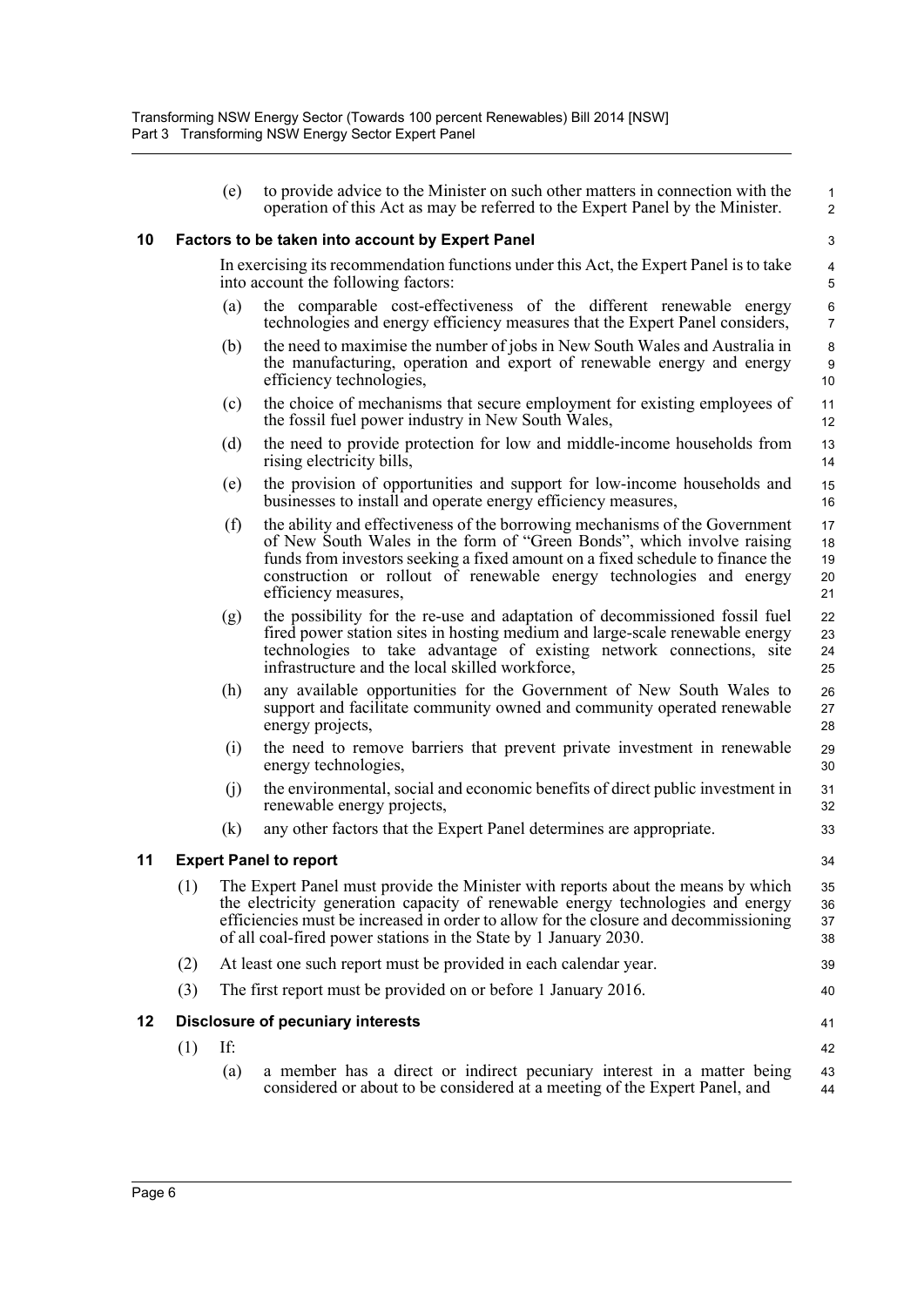1 2

34

41

#### <span id="page-10-0"></span>**10 Factors to be taken into account by Expert Panel**

In exercising its recommendation functions under this Act, the Expert Panel is to take into account the following factors:

- (a) the comparable cost-effectiveness of the different renewable energy technologies and energy efficiency measures that the Expert Panel considers,
- (b) the need to maximise the number of jobs in New South Wales and Australia in the manufacturing, operation and export of renewable energy and energy efficiency technologies,
- (c) the choice of mechanisms that secure employment for existing employees of the fossil fuel power industry in New South Wales,
- (d) the need to provide protection for low and middle-income households from rising electricity bills,
- (e) the provision of opportunities and support for low-income households and businesses to install and operate energy efficiency measures,
- (f) the ability and effectiveness of the borrowing mechanisms of the Government of New South Wales in the form of "Green Bonds", which involve raising funds from investors seeking a fixed amount on a fixed schedule to finance the construction or rollout of renewable energy technologies and energy efficiency measures, 17 18 19 20  $21$
- (g) the possibility for the re-use and adaptation of decommissioned fossil fuel fired power station sites in hosting medium and large-scale renewable energy technologies to take advantage of existing network connections, site infrastructure and the local skilled workforce,
- (h) any available opportunities for the Government of New South Wales to support and facilitate community owned and community operated renewable energy projects,
- (i) the need to remove barriers that prevent private investment in renewable energy technologies,
- (j) the environmental, social and economic benefits of direct public investment in renewable energy projects,
- (k) any other factors that the Expert Panel determines are appropriate.

### <span id="page-10-1"></span>**11 Expert Panel to report**

- (1) The Expert Panel must provide the Minister with reports about the means by which the electricity generation capacity of renewable energy technologies and energy efficiencies must be increased in order to allow for the closure and decommissioning of all coal-fired power stations in the State by 1 January 2030. 35 36 37 38
- (2) At least one such report must be provided in each calendar year. 39 40
- (3) The first report must be provided on or before 1 January 2016.

### <span id="page-10-2"></span>**12 Disclosure of pecuniary interests**

(1) If: (a) a member has a direct or indirect pecuniary interest in a matter being considered or about to be considered at a meeting of the Expert Panel, and 42 43 44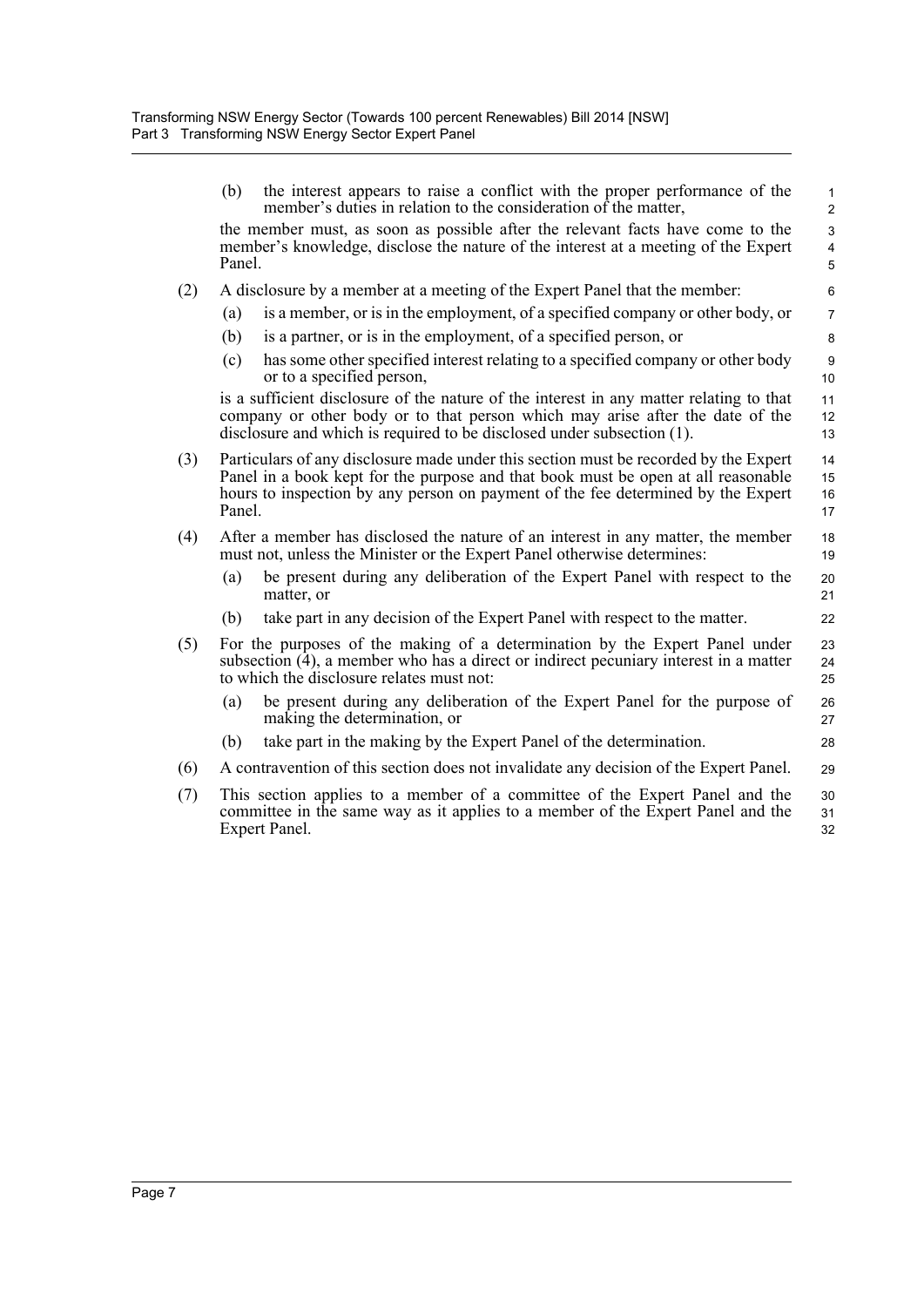|     | (b)    | the interest appears to raise a conflict with the proper performance of the<br>member's duties in relation to the consideration of the matter,                                                                                                                | $\mathbf{1}$<br>$\overline{2}$ |
|-----|--------|---------------------------------------------------------------------------------------------------------------------------------------------------------------------------------------------------------------------------------------------------------------|--------------------------------|
|     | Panel. | the member must, as soon as possible after the relevant facts have come to the<br>member's knowledge, disclose the nature of the interest at a meeting of the Expert                                                                                          | 3<br>4<br>$\overline{5}$       |
| (2) |        | A disclosure by a member at a meeting of the Expert Panel that the member:                                                                                                                                                                                    | 6                              |
|     | (a)    | is a member, or is in the employment, of a specified company or other body, or                                                                                                                                                                                | $\overline{7}$                 |
|     | (b)    | is a partner, or is in the employment, of a specified person, or                                                                                                                                                                                              | 8                              |
|     | (c)    | has some other specified interest relating to a specified company or other body<br>or to a specified person,                                                                                                                                                  | 9<br>10                        |
|     |        | is a sufficient disclosure of the nature of the interest in any matter relating to that<br>company or other body or to that person which may arise after the date of the<br>disclosure and which is required to be disclosed under subsection (1).            | 11<br>12<br>13                 |
| (3) | Panel. | Particulars of any disclosure made under this section must be recorded by the Expert<br>Panel in a book kept for the purpose and that book must be open at all reasonable<br>hours to inspection by any person on payment of the fee determined by the Expert | 14<br>15<br>16<br>17           |
| (4) |        | After a member has disclosed the nature of an interest in any matter, the member<br>must not, unless the Minister or the Expert Panel otherwise determines:                                                                                                   | 18<br>19                       |
|     | (a)    | be present during any deliberation of the Expert Panel with respect to the<br>matter, or                                                                                                                                                                      | 20<br>21                       |
|     | (b)    | take part in any decision of the Expert Panel with respect to the matter.                                                                                                                                                                                     | 22                             |
| (5) |        | For the purposes of the making of a determination by the Expert Panel under<br>subsection (4), a member who has a direct or indirect pecuniary interest in a matter<br>to which the disclosure relates must not:                                              | 23<br>24<br>25                 |
|     | (a)    | be present during any deliberation of the Expert Panel for the purpose of<br>making the determination, or                                                                                                                                                     | 26<br>27                       |
|     | (b)    | take part in the making by the Expert Panel of the determination.                                                                                                                                                                                             | 28                             |
| (6) |        | A contravention of this section does not invalidate any decision of the Expert Panel.                                                                                                                                                                         | 29                             |
| (7) |        | This section applies to a member of a committee of the Expert Panel and the<br>committee in the same way as it applies to a member of the Expert Panel and the<br>Expert Panel.                                                                               | 30<br>31<br>32                 |
|     |        |                                                                                                                                                                                                                                                               |                                |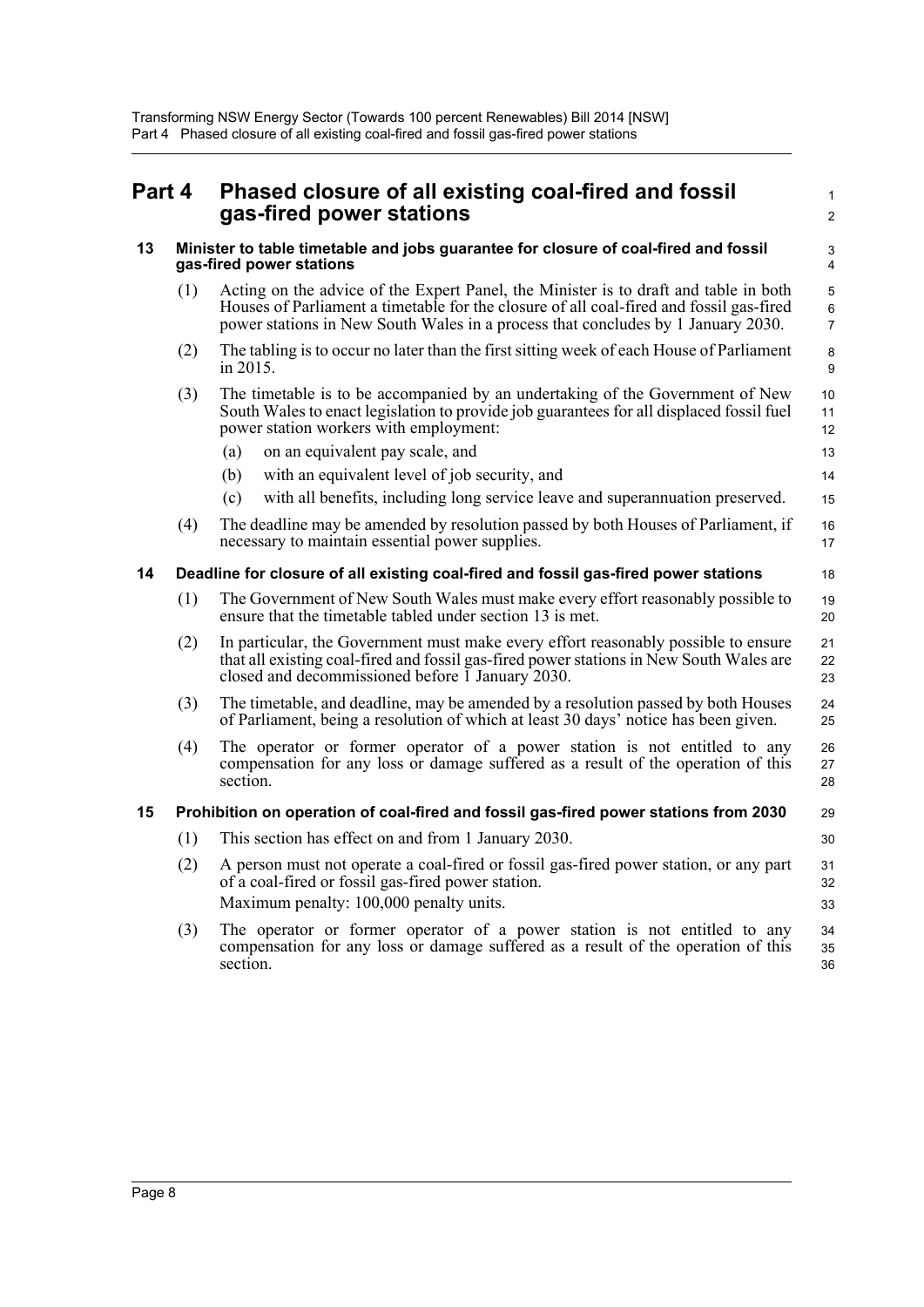<span id="page-12-2"></span><span id="page-12-1"></span><span id="page-12-0"></span>

| Part 4 |     | Phased closure of all existing coal-fired and fossil<br>gas-fired power stations                                                                                                                                                                                    | $\mathbf{1}$<br>$\overline{2}$ |  |  |
|--------|-----|---------------------------------------------------------------------------------------------------------------------------------------------------------------------------------------------------------------------------------------------------------------------|--------------------------------|--|--|
| 13     |     | Minister to table timetable and jobs guarantee for closure of coal-fired and fossil<br>gas-fired power stations                                                                                                                                                     |                                |  |  |
|        | (1) | Acting on the advice of the Expert Panel, the Minister is to draft and table in both<br>Houses of Parliament a timetable for the closure of all coal-fired and fossil gas-fired<br>power stations in New South Wales in a process that concludes by 1 January 2030. | 5<br>6<br>$\overline{7}$       |  |  |
|        | (2) | The tabling is to occur no later than the first sitting week of each House of Parliament<br>in 2015.                                                                                                                                                                | 8<br>9                         |  |  |
|        | (3) | The timetable is to be accompanied by an undertaking of the Government of New<br>South Wales to enact legislation to provide job guarantees for all displaced fossil fuel<br>power station workers with employment:                                                 | 10<br>11<br>12                 |  |  |
|        |     | on an equivalent pay scale, and<br>(a)                                                                                                                                                                                                                              | 13                             |  |  |
|        |     | with an equivalent level of job security, and<br>(b)                                                                                                                                                                                                                | 14                             |  |  |
|        |     | with all benefits, including long service leave and superannuation preserved.<br>(c)                                                                                                                                                                                | 15                             |  |  |
|        | (4) | The deadline may be amended by resolution passed by both Houses of Parliament, if<br>necessary to maintain essential power supplies.                                                                                                                                | 16<br>17                       |  |  |
| 14     |     | Deadline for closure of all existing coal-fired and fossil gas-fired power stations                                                                                                                                                                                 | 18                             |  |  |
|        | (1) | The Government of New South Wales must make every effort reasonably possible to<br>ensure that the timetable tabled under section 13 is met.                                                                                                                        | 19<br>20                       |  |  |
|        | (2) | In particular, the Government must make every effort reasonably possible to ensure<br>that all existing coal-fired and fossil gas-fired power stations in New South Wales are<br>closed and decommissioned before 1 January 2030.                                   | 21<br>22<br>23                 |  |  |
|        | (3) | The timetable, and deadline, may be amended by a resolution passed by both Houses<br>of Parliament, being a resolution of which at least 30 days' notice has been given.                                                                                            | 24<br>25                       |  |  |
|        | (4) | The operator or former operator of a power station is not entitled to any<br>compensation for any loss or damage suffered as a result of the operation of this<br>section.                                                                                          | 26<br>27<br>28                 |  |  |
| 15     |     | Prohibition on operation of coal-fired and fossil gas-fired power stations from 2030                                                                                                                                                                                | 29                             |  |  |
|        | (1) | This section has effect on and from 1 January 2030.                                                                                                                                                                                                                 | 30                             |  |  |
|        | (2) | A person must not operate a coal-fired or fossil gas-fired power station, or any part<br>of a coal-fired or fossil gas-fired power station.                                                                                                                         | 31<br>32                       |  |  |
|        |     | Maximum penalty: 100,000 penalty units.                                                                                                                                                                                                                             | 33                             |  |  |
|        | (3) | The operator or former operator of a power station is not entitled to any<br>compensation for any loss or damage suffered as a result of the operation of this                                                                                                      | 34<br>35                       |  |  |

35 36

<span id="page-12-3"></span>section.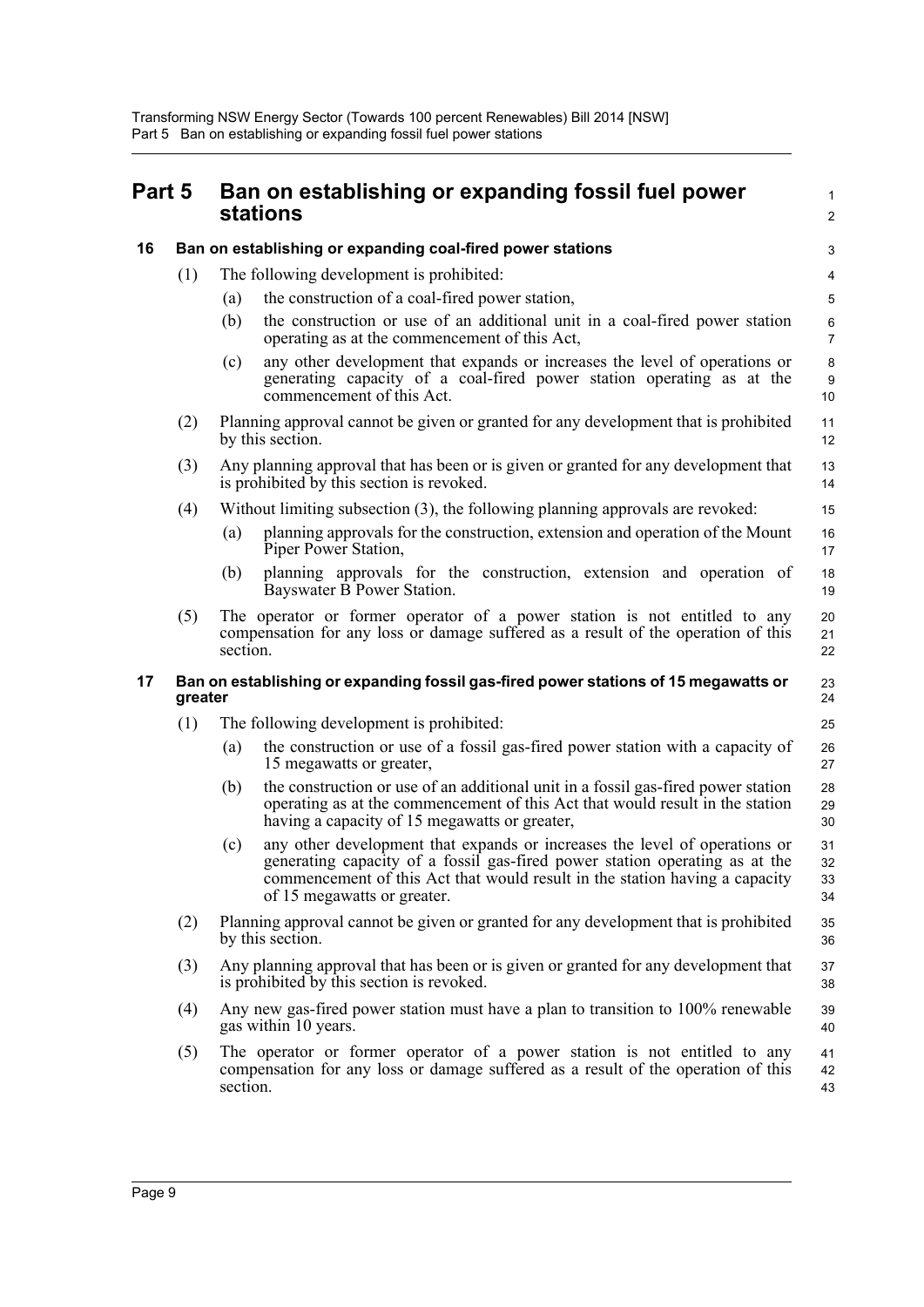<span id="page-13-2"></span><span id="page-13-1"></span><span id="page-13-0"></span>

| Part 5 |         |          | Ban on establishing or expanding fossil fuel power<br>stations                                                                                                                                                                                                          | 1<br>$\overline{\mathbf{c}}$ |
|--------|---------|----------|-------------------------------------------------------------------------------------------------------------------------------------------------------------------------------------------------------------------------------------------------------------------------|------------------------------|
| 16     |         |          | Ban on establishing or expanding coal-fired power stations                                                                                                                                                                                                              | 3                            |
|        | (1)     |          | The following development is prohibited:                                                                                                                                                                                                                                | 4                            |
|        |         | (a)      | the construction of a coal-fired power station,                                                                                                                                                                                                                         | 5                            |
|        |         | (b)      | the construction or use of an additional unit in a coal-fired power station<br>operating as at the commencement of this Act,                                                                                                                                            | 6<br>$\overline{7}$          |
|        |         | (c)      | any other development that expands or increases the level of operations or<br>generating capacity of a coal-fired power station operating as at the<br>commencement of this Act.                                                                                        | 8<br>9<br>10                 |
|        | (2)     |          | Planning approval cannot be given or granted for any development that is prohibited<br>by this section.                                                                                                                                                                 | 11<br>12                     |
|        | (3)     |          | Any planning approval that has been or is given or granted for any development that<br>is prohibited by this section is revoked.                                                                                                                                        | 13<br>14                     |
|        | (4)     |          | Without limiting subsection (3), the following planning approvals are revoked:                                                                                                                                                                                          | 15                           |
|        |         | (a)      | planning approvals for the construction, extension and operation of the Mount<br>Piper Power Station,                                                                                                                                                                   | 16<br>17                     |
|        |         | (b)      | planning approvals for the construction, extension and operation of<br>Bayswater B Power Station.                                                                                                                                                                       | 18<br>19                     |
|        | (5)     | section. | The operator or former operator of a power station is not entitled to any<br>compensation for any loss or damage suffered as a result of the operation of this                                                                                                          | 20<br>21<br>22               |
| 17     | greater |          | Ban on establishing or expanding fossil gas-fired power stations of 15 megawatts or                                                                                                                                                                                     | 23<br>24                     |
|        | (1)     |          | The following development is prohibited:                                                                                                                                                                                                                                | 25                           |
|        |         | (a)      | the construction or use of a fossil gas-fired power station with a capacity of<br>15 megawatts or greater,                                                                                                                                                              | 26<br>27                     |
|        |         | (b)      | the construction or use of an additional unit in a fossil gas-fired power station<br>operating as at the commencement of this Act that would result in the station<br>having a capacity of 15 megawatts or greater,                                                     | 28<br>29<br>30               |
|        |         | (c)      | any other development that expands or increases the level of operations or<br>generating capacity of a fossil gas-fired power station operating as at the<br>commencement of this Act that would result in the station having a capacity<br>of 15 megawatts or greater. | 31<br>32<br>33<br>34         |
|        | (2)     |          | Planning approval cannot be given or granted for any development that is prohibited<br>by this section.                                                                                                                                                                 | 35<br>36                     |
|        | (3)     |          | Any planning approval that has been or is given or granted for any development that<br>is prohibited by this section is revoked.                                                                                                                                        | 37<br>38                     |
|        | (4)     |          | Any new gas-fired power station must have a plan to transition to 100% renewable<br>gas within 10 years.                                                                                                                                                                | 39<br>40                     |
|        | (5)     | section. | The operator or former operator of a power station is not entitled to any<br>compensation for any loss or damage suffered as a result of the operation of this                                                                                                          | 41<br>42<br>43               |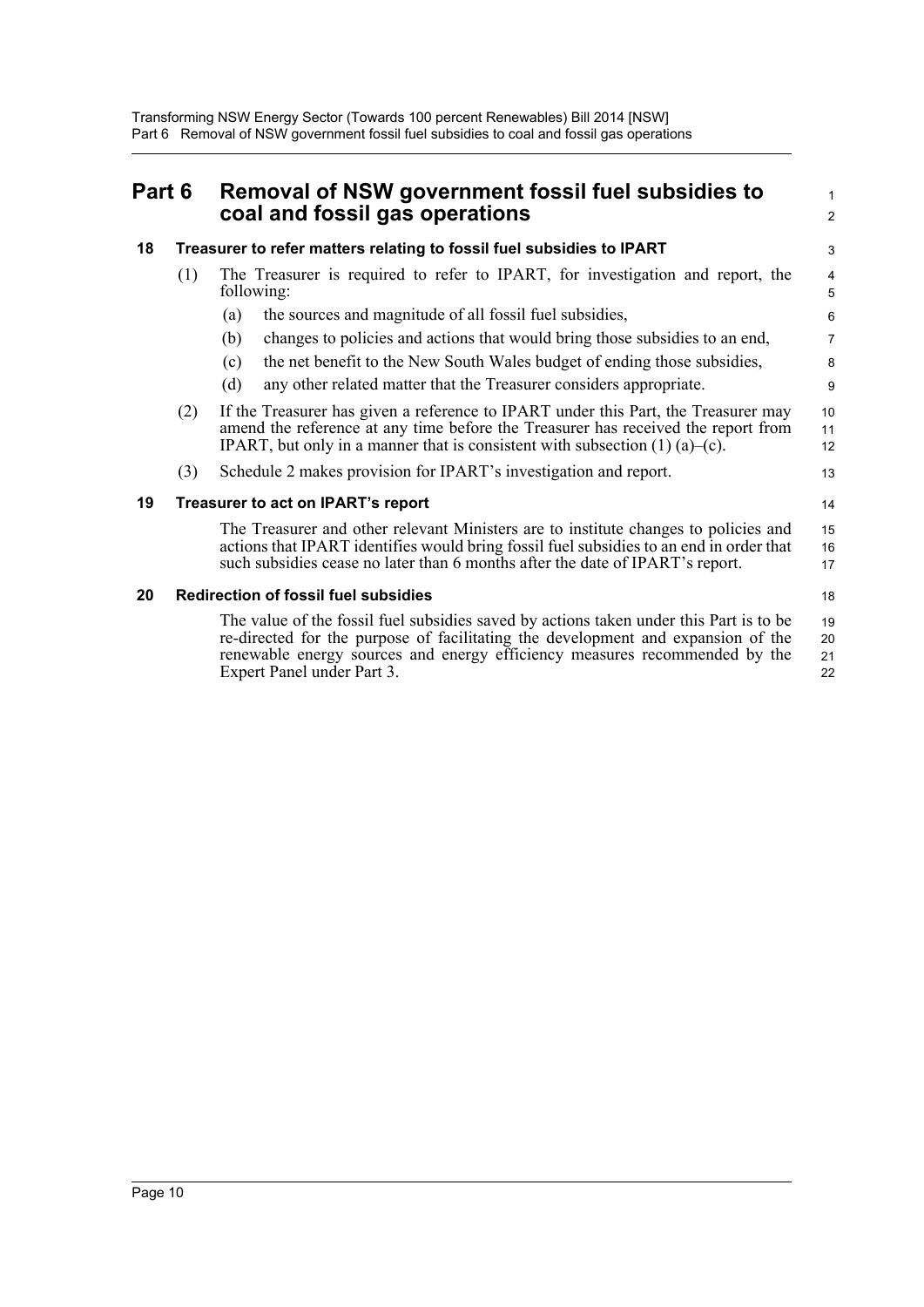<span id="page-14-3"></span><span id="page-14-2"></span><span id="page-14-1"></span><span id="page-14-0"></span>

| Part 6 |     | Removal of NSW government fossil fuel subsidies to<br>coal and fossil gas operations                                                                                                                                                                                                   | 1<br>$\overline{a}$  |  |  |
|--------|-----|----------------------------------------------------------------------------------------------------------------------------------------------------------------------------------------------------------------------------------------------------------------------------------------|----------------------|--|--|
| 18     |     | Treasurer to refer matters relating to fossil fuel subsidies to IPART                                                                                                                                                                                                                  |                      |  |  |
|        | (1) | The Treasurer is required to refer to IPART, for investigation and report, the<br>following:                                                                                                                                                                                           | 4<br>5               |  |  |
|        |     | the sources and magnitude of all fossil fuel subsidies,<br>(a)                                                                                                                                                                                                                         | 6                    |  |  |
|        |     | changes to policies and actions that would bring those subsidies to an end,<br>(b)                                                                                                                                                                                                     | 7                    |  |  |
|        |     | the net benefit to the New South Wales budget of ending those subsidies,<br>(c)                                                                                                                                                                                                        | 8                    |  |  |
|        |     | (d)<br>any other related matter that the Treasurer considers appropriate.                                                                                                                                                                                                              | 9                    |  |  |
|        | (2) | If the Treasurer has given a reference to IPART under this Part, the Treasurer may<br>amend the reference at any time before the Treasurer has received the report from<br>IPART, but only in a manner that is consistent with subsection $(1)$ $(a)$ – $(c)$ .                        | 10<br>11<br>12       |  |  |
|        | (3) | Schedule 2 makes provision for IPART's investigation and report.                                                                                                                                                                                                                       | 13                   |  |  |
| 19     |     | Treasurer to act on IPART's report                                                                                                                                                                                                                                                     | 14                   |  |  |
|        |     | The Treasurer and other relevant Ministers are to institute changes to policies and<br>actions that IPART identifies would bring fossil fuel subsidies to an end in order that<br>such subsidies cease no later than 6 months after the date of IPART's report.                        | 15<br>16<br>17       |  |  |
| 20     |     | <b>Redirection of fossil fuel subsidies</b>                                                                                                                                                                                                                                            | 18                   |  |  |
|        |     | The value of the fossil fuel subsidies saved by actions taken under this Part is to be<br>re-directed for the purpose of facilitating the development and expansion of the<br>renewable energy sources and energy efficiency measures recommended by the<br>Expert Panel under Part 3. | 19<br>20<br>21<br>22 |  |  |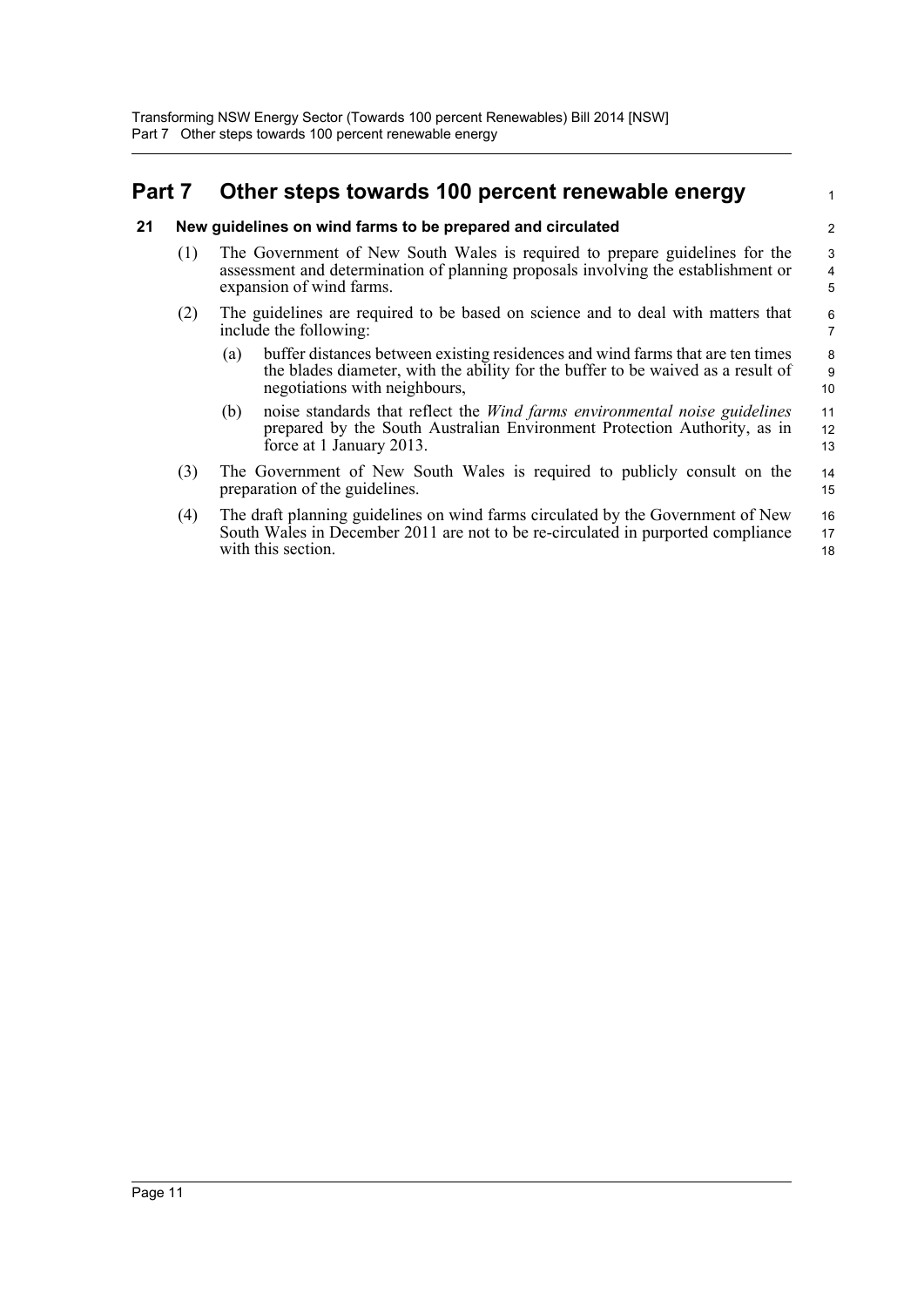## <span id="page-15-0"></span>**Part 7 Other steps towards 100 percent renewable energy**

### <span id="page-15-1"></span>**21 New guidelines on wind farms to be prepared and circulated**

- (1) The Government of New South Wales is required to prepare guidelines for the assessment and determination of planning proposals involving the establishment or expansion of wind farms.
- (2) The guidelines are required to be based on science and to deal with matters that include the following:
	- (a) buffer distances between existing residences and wind farms that are ten times the blades diameter, with the ability for the buffer to be waived as a result of negotiations with neighbours,

1

- (b) noise standards that reflect the *Wind farms environmental noise guidelines* prepared by the South Australian Environment Protection Authority, as in force at 1 January 2013.
- (3) The Government of New South Wales is required to publicly consult on the preparation of the guidelines. 14 15
- (4) The draft planning guidelines on wind farms circulated by the Government of New South Wales in December 2011 are not to be re-circulated in purported compliance with this section. 16 17 18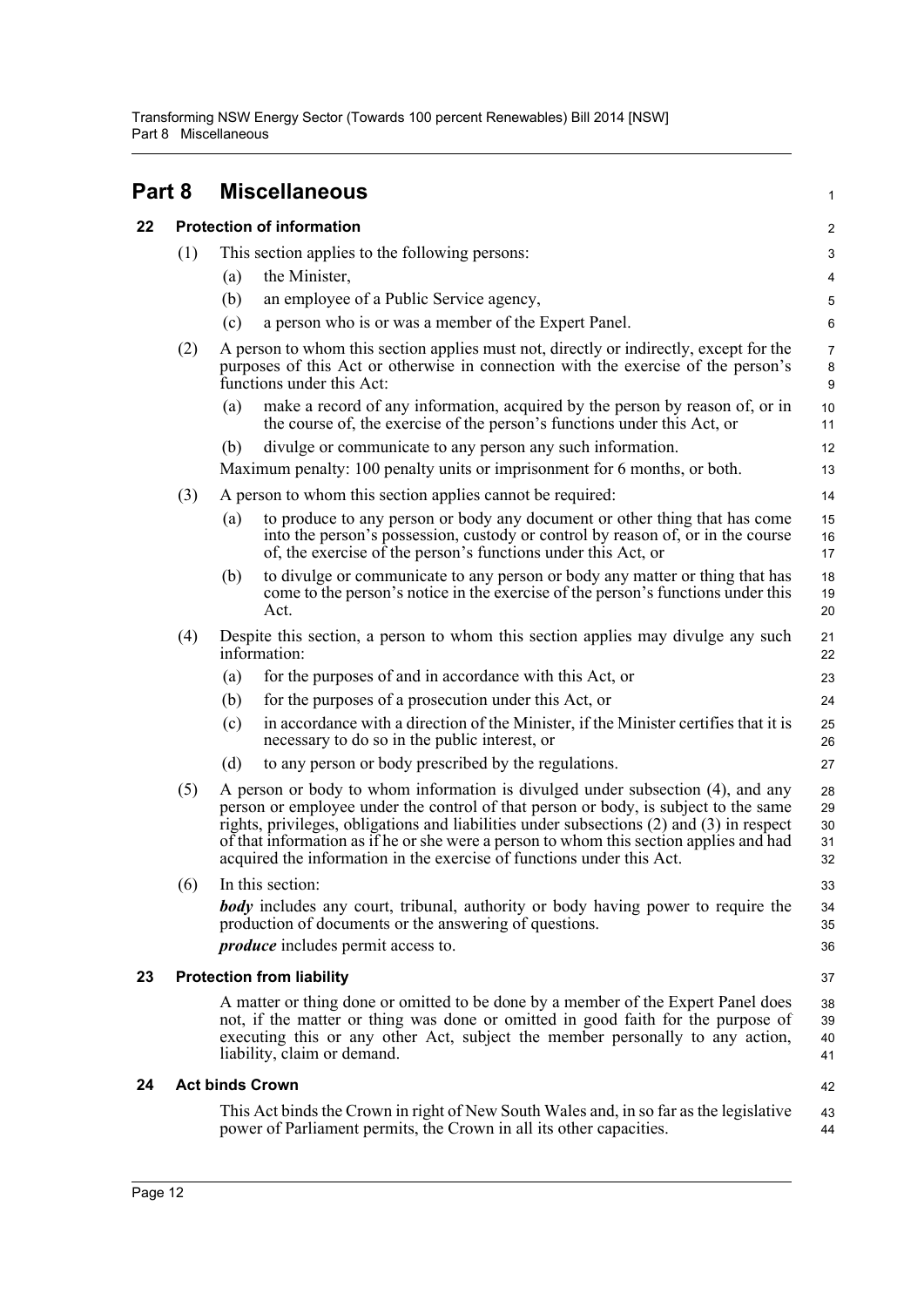Transforming NSW Energy Sector (Towards 100 percent Renewables) Bill 2014 [NSW] Part 8 Miscellaneous

<span id="page-16-3"></span><span id="page-16-2"></span><span id="page-16-1"></span><span id="page-16-0"></span>

| Part 8 |     |     | <b>Miscellaneous</b>                                                                                                                                                                                                                                                                                                                                                                                                                 | 1                              |  |  |  |
|--------|-----|-----|--------------------------------------------------------------------------------------------------------------------------------------------------------------------------------------------------------------------------------------------------------------------------------------------------------------------------------------------------------------------------------------------------------------------------------------|--------------------------------|--|--|--|
| 22     |     |     | <b>Protection of information</b>                                                                                                                                                                                                                                                                                                                                                                                                     |                                |  |  |  |
|        | (1) |     | This section applies to the following persons:                                                                                                                                                                                                                                                                                                                                                                                       | 3                              |  |  |  |
|        |     | (a) | the Minister,                                                                                                                                                                                                                                                                                                                                                                                                                        | 4                              |  |  |  |
|        |     | (b) | an employee of a Public Service agency,                                                                                                                                                                                                                                                                                                                                                                                              | $\mathbf 5$                    |  |  |  |
|        |     | (c) | a person who is or was a member of the Expert Panel.                                                                                                                                                                                                                                                                                                                                                                                 | 6                              |  |  |  |
|        | (2) |     | A person to whom this section applies must not, directly or indirectly, except for the<br>purposes of this Act or otherwise in connection with the exercise of the person's<br>functions under this Act:                                                                                                                                                                                                                             | $\overline{7}$<br>$\bf 8$<br>9 |  |  |  |
|        |     | (a) | make a record of any information, acquired by the person by reason of, or in<br>the course of, the exercise of the person's functions under this Act, or                                                                                                                                                                                                                                                                             | 10<br>11                       |  |  |  |
|        |     | (b) | divulge or communicate to any person any such information.<br>Maximum penalty: 100 penalty units or imprisonment for 6 months, or both.                                                                                                                                                                                                                                                                                              | 12<br>13                       |  |  |  |
|        | (3) |     | A person to whom this section applies cannot be required:                                                                                                                                                                                                                                                                                                                                                                            | 14                             |  |  |  |
|        |     | (a) | to produce to any person or body any document or other thing that has come<br>into the person's possession, custody or control by reason of, or in the course<br>of, the exercise of the person's functions under this Act, or                                                                                                                                                                                                       | 15<br>16<br>17                 |  |  |  |
|        |     | (b) | to divulge or communicate to any person or body any matter or thing that has<br>come to the person's notice in the exercise of the person's functions under this<br>Act.                                                                                                                                                                                                                                                             | 18<br>19<br>20                 |  |  |  |
|        | (4) |     | Despite this section, a person to whom this section applies may divulge any such<br>information:                                                                                                                                                                                                                                                                                                                                     | 21<br>22                       |  |  |  |
|        |     | (a) | for the purposes of and in accordance with this Act, or                                                                                                                                                                                                                                                                                                                                                                              | 23                             |  |  |  |
|        |     | (b) | for the purposes of a prosecution under this Act, or                                                                                                                                                                                                                                                                                                                                                                                 | 24                             |  |  |  |
|        |     | (c) | in accordance with a direction of the Minister, if the Minister certifies that it is<br>necessary to do so in the public interest, or                                                                                                                                                                                                                                                                                                | 25<br>26                       |  |  |  |
|        |     | (d) | to any person or body prescribed by the regulations.                                                                                                                                                                                                                                                                                                                                                                                 | 27                             |  |  |  |
|        | (5) |     | A person or body to whom information is divulged under subsection (4), and any<br>person or employee under the control of that person or body, is subject to the same<br>rights, privileges, obligations and liabilities under subsections (2) and (3) in respect<br>of that information as if he or she were a person to whom this section applies and had<br>acquired the information in the exercise of functions under this Act. | 28<br>29<br>30<br>31<br>32     |  |  |  |
|        | (6) |     | In this section:                                                                                                                                                                                                                                                                                                                                                                                                                     | 33                             |  |  |  |
|        |     |     | <b>body</b> includes any court, tribunal, authority or body having power to require the<br>production of documents or the answering of questions.                                                                                                                                                                                                                                                                                    | 34<br>35                       |  |  |  |
|        |     |     | <i>produce</i> includes permit access to.                                                                                                                                                                                                                                                                                                                                                                                            | 36                             |  |  |  |
| 23     |     |     | <b>Protection from liability</b>                                                                                                                                                                                                                                                                                                                                                                                                     | 37                             |  |  |  |
|        |     |     | A matter or thing done or omitted to be done by a member of the Expert Panel does<br>not, if the matter or thing was done or omitted in good faith for the purpose of<br>executing this or any other Act, subject the member personally to any action,<br>liability, claim or demand.                                                                                                                                                | 38<br>39<br>40<br>41           |  |  |  |
| 24     |     |     | <b>Act binds Crown</b>                                                                                                                                                                                                                                                                                                                                                                                                               | 42                             |  |  |  |
|        |     |     | This Act binds the Crown in right of New South Wales and, in so far as the legislative<br>power of Parliament permits, the Crown in all its other capacities.                                                                                                                                                                                                                                                                        | 43<br>44                       |  |  |  |
|        |     |     |                                                                                                                                                                                                                                                                                                                                                                                                                                      |                                |  |  |  |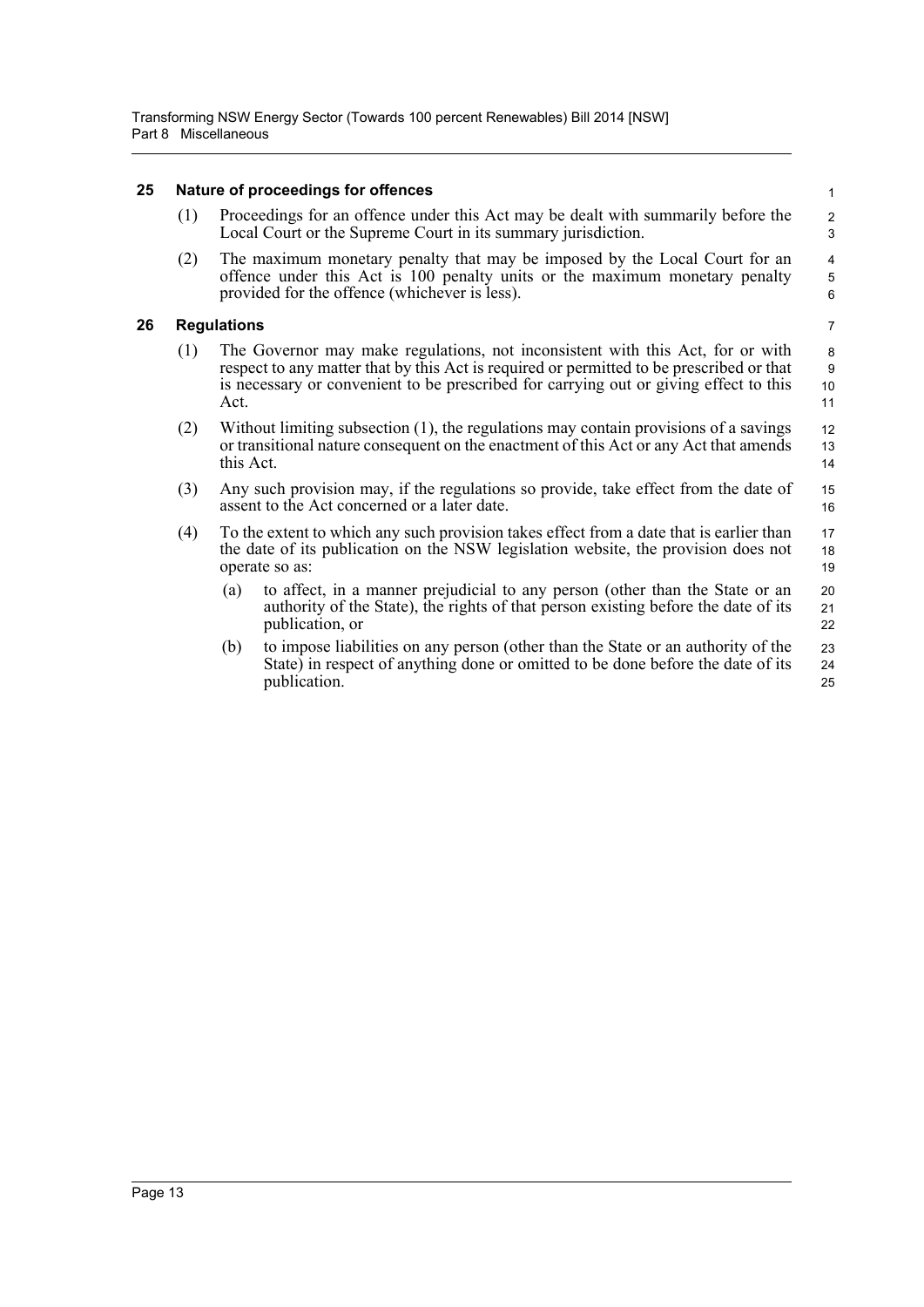### <span id="page-17-0"></span>**25 Nature of proceedings for offences**

| (1) | Proceedings for an offence under this Act may be dealt with summarily before the |
|-----|----------------------------------------------------------------------------------|
|     | Local Court or the Supreme Court in its summary jurisdiction.                    |

15 16

(2) The maximum monetary penalty that may be imposed by the Local Court for an offence under this Act is 100 penalty units or the maximum monetary penalty provided for the offence (whichever is less).

### <span id="page-17-1"></span>**26 Regulations**

- (1) The Governor may make regulations, not inconsistent with this Act, for or with respect to any matter that by this Act is required or permitted to be prescribed or that is necessary or convenient to be prescribed for carrying out or giving effect to this Act.
- (2) Without limiting subsection (1), the regulations may contain provisions of a savings or transitional nature consequent on the enactment of this Act or any Act that amends this Act. 12 13 14
- (3) Any such provision may, if the regulations so provide, take effect from the date of assent to the Act concerned or a later date.
- (4) To the extent to which any such provision takes effect from a date that is earlier than the date of its publication on the NSW legislation website, the provision does not operate so as: 17 18 19
	- (a) to affect, in a manner prejudicial to any person (other than the State or an authority of the State), the rights of that person existing before the date of its publication, or 20 21 22
	- (b) to impose liabilities on any person (other than the State or an authority of the State) in respect of anything done or omitted to be done before the date of its publication. 23 24 25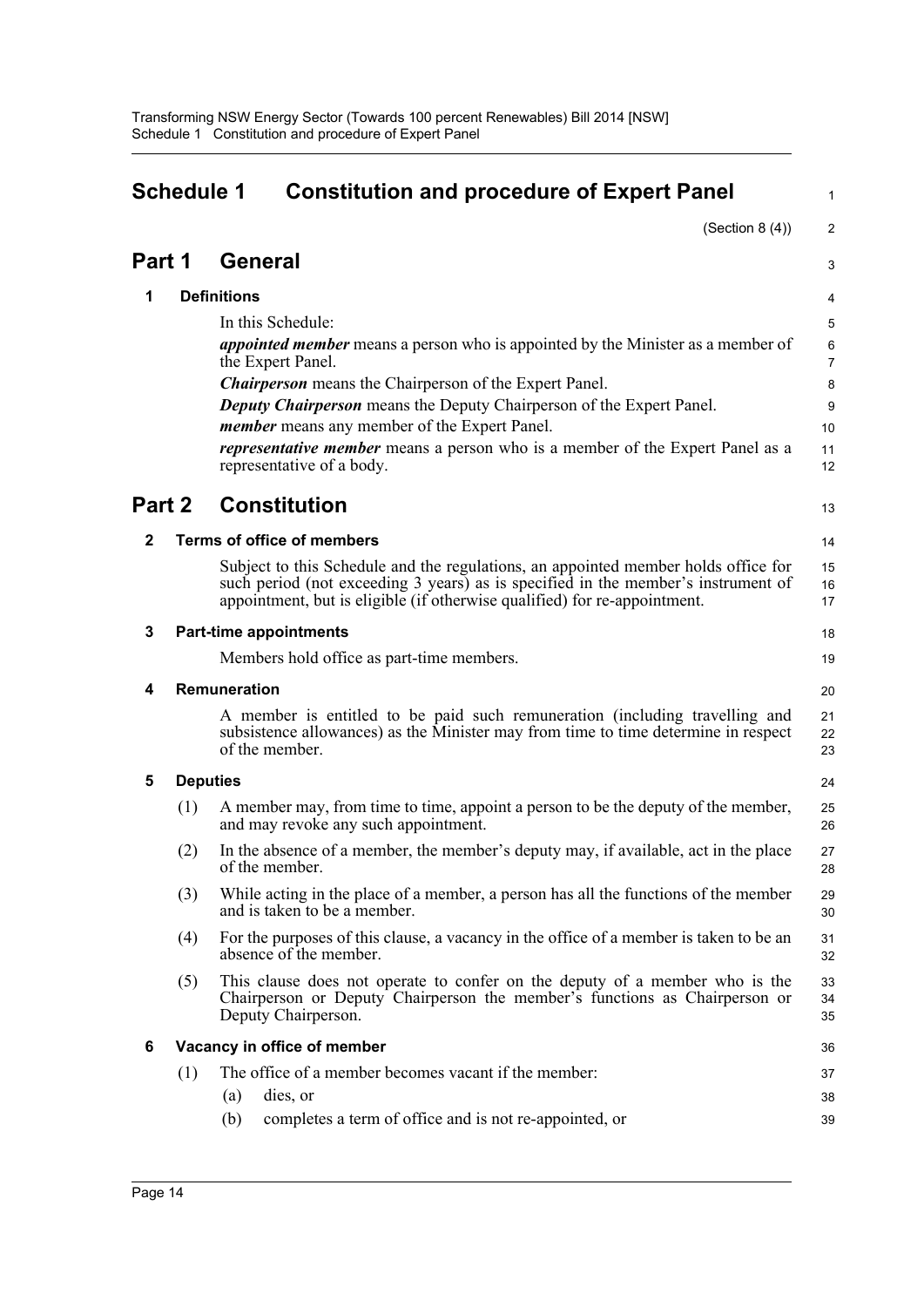<span id="page-18-0"></span>

|              | <b>Schedule 1</b><br><b>Constitution and procedure of Expert Panel</b> |                                                                                                                                                                                                                                                      |                                     |  |  |
|--------------|------------------------------------------------------------------------|------------------------------------------------------------------------------------------------------------------------------------------------------------------------------------------------------------------------------------------------------|-------------------------------------|--|--|
|              |                                                                        |                                                                                                                                                                                                                                                      | (Section $8(4)$ )<br>$\overline{a}$ |  |  |
| Part 1       |                                                                        | <b>General</b>                                                                                                                                                                                                                                       | 3                                   |  |  |
| 1            |                                                                        | <b>Definitions</b>                                                                                                                                                                                                                                   | 4                                   |  |  |
|              |                                                                        | In this Schedule:                                                                                                                                                                                                                                    | 5                                   |  |  |
|              |                                                                        | <i>appointed member</i> means a person who is appointed by the Minister as a member of<br>the Expert Panel.                                                                                                                                          | 6<br>7                              |  |  |
|              |                                                                        | <b>Chairperson</b> means the Chairperson of the Expert Panel.                                                                                                                                                                                        | 8                                   |  |  |
|              |                                                                        | <b>Deputy Chairperson</b> means the Deputy Chairperson of the Expert Panel.                                                                                                                                                                          | 9                                   |  |  |
|              |                                                                        | <i>member</i> means any member of the Expert Panel.                                                                                                                                                                                                  | 10                                  |  |  |
|              |                                                                        | <i>representative member</i> means a person who is a member of the Expert Panel as a<br>representative of a body.                                                                                                                                    | 11<br>12                            |  |  |
| Part 2       |                                                                        | <b>Constitution</b>                                                                                                                                                                                                                                  | 13                                  |  |  |
| $\mathbf{2}$ |                                                                        | <b>Terms of office of members</b>                                                                                                                                                                                                                    | 14                                  |  |  |
|              |                                                                        | Subject to this Schedule and the regulations, an appointed member holds office for<br>such period (not exceeding 3 years) as is specified in the member's instrument of<br>appointment, but is eligible (if otherwise qualified) for re-appointment. | 15<br>16<br>17                      |  |  |
| 3            |                                                                        | <b>Part-time appointments</b>                                                                                                                                                                                                                        | 18                                  |  |  |
|              |                                                                        | Members hold office as part-time members.                                                                                                                                                                                                            | 19                                  |  |  |
| 4            |                                                                        | Remuneration                                                                                                                                                                                                                                         | 20                                  |  |  |
|              |                                                                        | A member is entitled to be paid such remuneration (including travelling and<br>subsistence allowances) as the Minister may from time to time determine in respect<br>of the member.                                                                  | 21<br>22<br>23                      |  |  |
| 5            | <b>Deputies</b>                                                        |                                                                                                                                                                                                                                                      | 24                                  |  |  |
|              | (1)                                                                    | A member may, from time to time, appoint a person to be the deputy of the member,<br>and may revoke any such appointment.                                                                                                                            | 25<br>26                            |  |  |
|              | (2)                                                                    | In the absence of a member, the member's deputy may, if available, act in the place<br>of the member.                                                                                                                                                | 27<br>28                            |  |  |
|              | (3)                                                                    | While acting in the place of a member, a person has all the functions of the member<br>and is taken to be a member.                                                                                                                                  | 29<br>30                            |  |  |
|              | (4)                                                                    | For the purposes of this clause, a vacancy in the office of a member is taken to be an<br>absence of the member.                                                                                                                                     | 31<br>32                            |  |  |
|              | (5)                                                                    | This clause does not operate to confer on the deputy of a member who is the<br>Chairperson or Deputy Chairperson the member's functions as Chairperson or<br>Deputy Chairperson.                                                                     | 33<br>34<br>35                      |  |  |
| 6            |                                                                        | Vacancy in office of member                                                                                                                                                                                                                          | 36                                  |  |  |
|              | (1)                                                                    | The office of a member becomes vacant if the member:                                                                                                                                                                                                 | 37                                  |  |  |
|              |                                                                        | dies, or<br>(a)                                                                                                                                                                                                                                      | 38                                  |  |  |
|              |                                                                        | completes a term of office and is not re-appointed, or<br>(b)                                                                                                                                                                                        | 39                                  |  |  |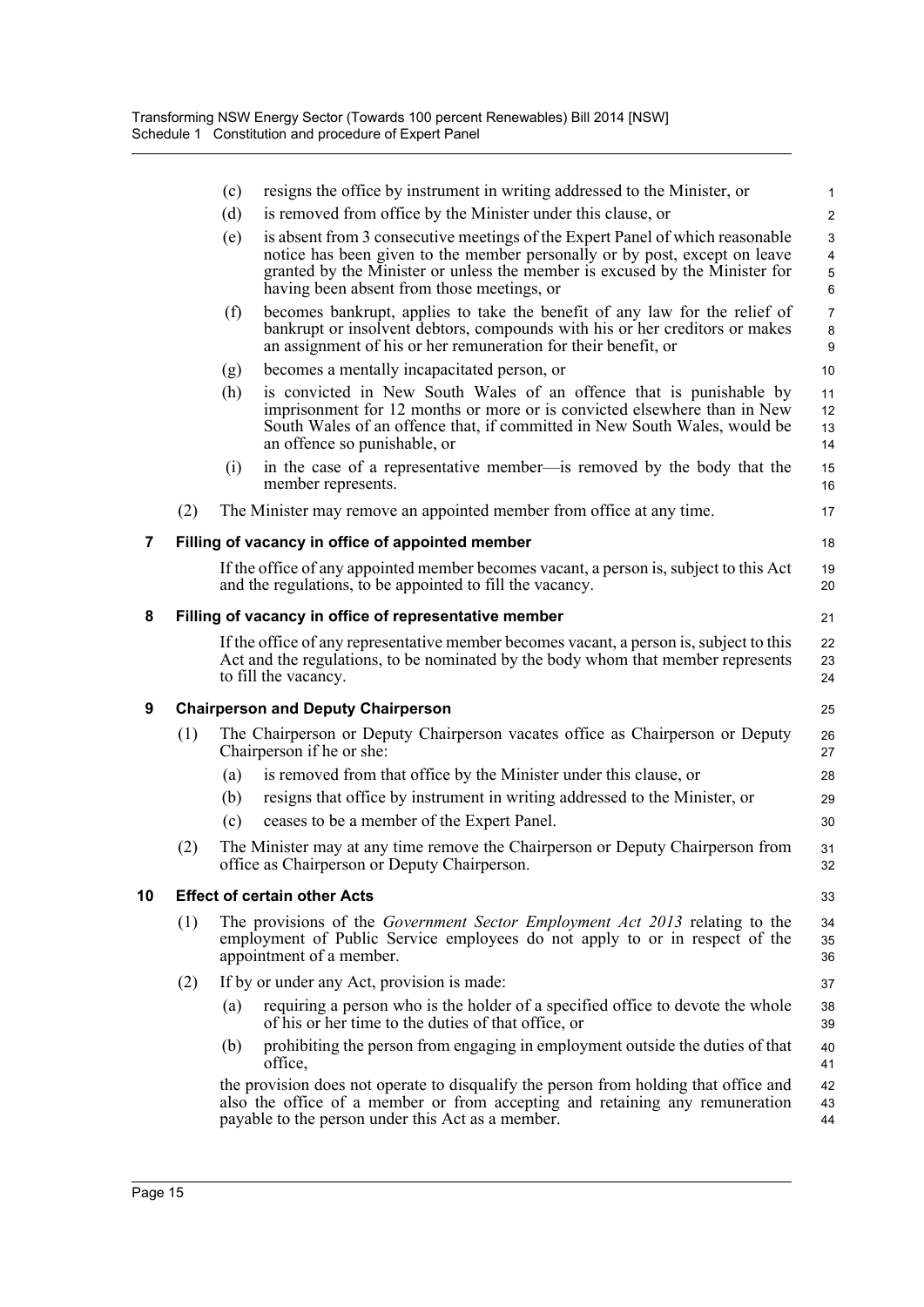|    |     | (c)                  | resigns the office by instrument in writing addressed to the Minister, or                                                                                                                                                                                                                | 1                                                                       |
|----|-----|----------------------|------------------------------------------------------------------------------------------------------------------------------------------------------------------------------------------------------------------------------------------------------------------------------------------|-------------------------------------------------------------------------|
|    |     | (d)                  | is removed from office by the Minister under this clause, or                                                                                                                                                                                                                             | $\overline{c}$                                                          |
|    |     | (e)                  | is absent from 3 consecutive meetings of the Expert Panel of which reasonable<br>notice has been given to the member personally or by post, except on leave<br>granted by the Minister or unless the member is excused by the Minister for<br>having been absent from those meetings, or | $\ensuremath{\mathsf{3}}$<br>$\overline{\mathbf{4}}$<br>$\sqrt{5}$<br>6 |
|    |     | (f)                  | becomes bankrupt, applies to take the benefit of any law for the relief of<br>bankrupt or insolvent debtors, compounds with his or her creditors or makes<br>an assignment of his or her remuneration for their benefit, or                                                              | $\overline{7}$<br>$\bf 8$<br>$\boldsymbol{9}$                           |
|    |     | (g)                  | becomes a mentally incapacitated person, or                                                                                                                                                                                                                                              | 10                                                                      |
|    |     | (h)                  | is convicted in New South Wales of an offence that is punishable by<br>imprisonment for 12 months or more or is convicted elsewhere than in New<br>South Wales of an offence that, if committed in New South Wales, would be<br>an offence so punishable, or                             | 11<br>12<br>13<br>14                                                    |
|    |     | (i)                  | in the case of a representative member—is removed by the body that the<br>member represents.                                                                                                                                                                                             | 15<br>16                                                                |
|    | (2) |                      | The Minister may remove an appointed member from office at any time.                                                                                                                                                                                                                     | 17                                                                      |
| 7  |     |                      | Filling of vacancy in office of appointed member                                                                                                                                                                                                                                         | 18                                                                      |
|    |     |                      | If the office of any appointed member becomes vacant, a person is, subject to this Act<br>and the regulations, to be appointed to fill the vacancy.                                                                                                                                      | 19<br>20                                                                |
| 8  |     |                      | Filling of vacancy in office of representative member                                                                                                                                                                                                                                    | 21                                                                      |
|    |     | to fill the vacancy. | If the office of any representative member becomes vacant, a person is, subject to this<br>Act and the regulations, to be nominated by the body whom that member represents                                                                                                              | 22<br>23<br>24                                                          |
| 9  |     |                      | <b>Chairperson and Deputy Chairperson</b>                                                                                                                                                                                                                                                | 25                                                                      |
|    | (1) |                      | The Chairperson or Deputy Chairperson vacates office as Chairperson or Deputy<br>Chairperson if he or she:                                                                                                                                                                               | 26<br>27                                                                |
|    |     | (a)                  | is removed from that office by the Minister under this clause, or                                                                                                                                                                                                                        | 28                                                                      |
|    |     | (b)                  | resigns that office by instrument in writing addressed to the Minister, or                                                                                                                                                                                                               | 29                                                                      |
|    |     | (c)                  | ceases to be a member of the Expert Panel.                                                                                                                                                                                                                                               | 30                                                                      |
|    | (2) |                      | The Minister may at any time remove the Chairperson or Deputy Chairperson from<br>office as Chairperson or Deputy Chairperson.                                                                                                                                                           | 31<br>32                                                                |
| 10 |     |                      | <b>Effect of certain other Acts</b>                                                                                                                                                                                                                                                      | 33                                                                      |
|    | (1) |                      | The provisions of the <i>Government Sector Employment Act 2013</i> relating to the<br>employment of Public Service employees do not apply to or in respect of the<br>appointment of a member.                                                                                            | 34<br>35<br>36                                                          |
|    | (2) |                      | If by or under any Act, provision is made:                                                                                                                                                                                                                                               | 37                                                                      |
|    |     | (a)                  | requiring a person who is the holder of a specified office to devote the whole<br>of his or her time to the duties of that office, or                                                                                                                                                    | 38<br>39                                                                |
|    |     | (b)<br>office,       | prohibiting the person from engaging in employment outside the duties of that                                                                                                                                                                                                            | 40<br>41                                                                |
|    |     |                      | the provision does not operate to disqualify the person from holding that office and<br>also the office of a member or from accepting and retaining any remuneration<br>payable to the person under this Act as a member.                                                                | 42<br>43<br>44                                                          |
|    |     |                      |                                                                                                                                                                                                                                                                                          |                                                                         |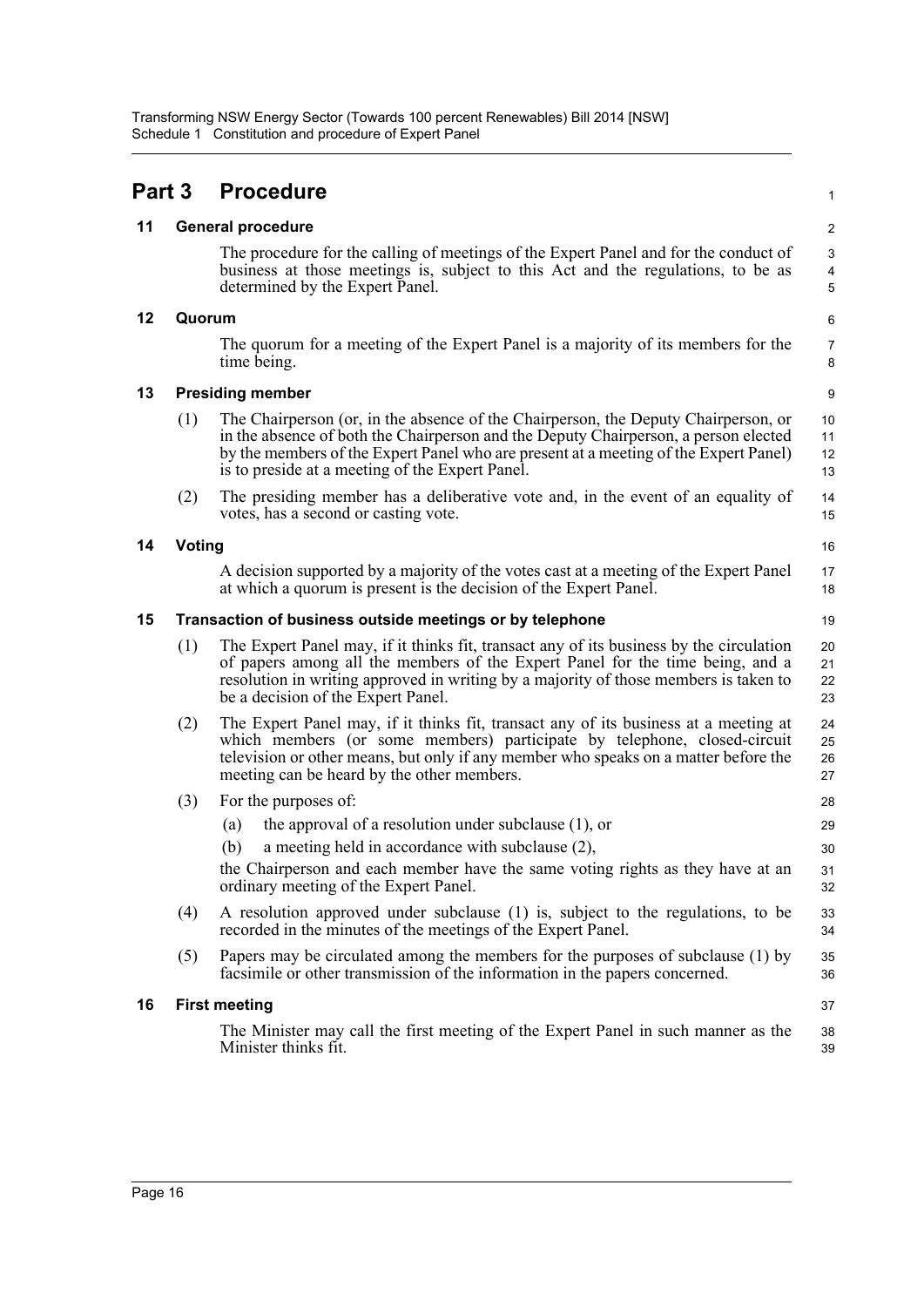| Part 3 |               | <b>Procedure</b>                                                                                                                                                                                                                                                                                                     | $\mathbf{1}$                                                        |  |  |  |  |
|--------|---------------|----------------------------------------------------------------------------------------------------------------------------------------------------------------------------------------------------------------------------------------------------------------------------------------------------------------------|---------------------------------------------------------------------|--|--|--|--|
| 11     |               | <b>General procedure</b>                                                                                                                                                                                                                                                                                             | 2                                                                   |  |  |  |  |
|        |               | The procedure for the calling of meetings of the Expert Panel and for the conduct of<br>business at those meetings is, subject to this Act and the regulations, to be as<br>determined by the Expert Panel.                                                                                                          | $\ensuremath{\mathsf{3}}$<br>$\overline{\mathbf{4}}$<br>$\mathbf 5$ |  |  |  |  |
| 12     | Quorum        |                                                                                                                                                                                                                                                                                                                      | 6                                                                   |  |  |  |  |
|        |               | The quorum for a meeting of the Expert Panel is a majority of its members for the<br>time being.                                                                                                                                                                                                                     | $\overline{7}$<br>8                                                 |  |  |  |  |
| 13     |               | <b>Presiding member</b>                                                                                                                                                                                                                                                                                              |                                                                     |  |  |  |  |
|        | (1)           | The Chairperson (or, in the absence of the Chairperson, the Deputy Chairperson, or<br>in the absence of both the Chairperson and the Deputy Chairperson, a person elected<br>by the members of the Expert Panel who are present at a meeting of the Expert Panel)<br>is to preside at a meeting of the Expert Panel. | 10<br>11<br>12<br>13                                                |  |  |  |  |
|        | (2)           | The presiding member has a deliberative vote and, in the event of an equality of<br>votes, has a second or casting vote.                                                                                                                                                                                             | 14<br>15                                                            |  |  |  |  |
| 14     | <b>Voting</b> |                                                                                                                                                                                                                                                                                                                      | 16                                                                  |  |  |  |  |
|        |               | A decision supported by a majority of the votes cast at a meeting of the Expert Panel<br>at which a quorum is present is the decision of the Expert Panel.                                                                                                                                                           | 17<br>18                                                            |  |  |  |  |
| 15     |               | Transaction of business outside meetings or by telephone                                                                                                                                                                                                                                                             | 19                                                                  |  |  |  |  |
|        | (1)           | The Expert Panel may, if it thinks fit, transact any of its business by the circulation<br>of papers among all the members of the Expert Panel for the time being, and a<br>resolution in writing approved in writing by a majority of those members is taken to<br>be a decision of the Expert Panel.               | 20<br>21<br>22<br>23                                                |  |  |  |  |
|        | (2)           | The Expert Panel may, if it thinks fit, transact any of its business at a meeting at<br>which members (or some members) participate by telephone, closed-circuit<br>television or other means, but only if any member who speaks on a matter before the<br>meeting can be heard by the other members.                | 24<br>25<br>26<br>27                                                |  |  |  |  |
|        | (3)           | For the purposes of:                                                                                                                                                                                                                                                                                                 | 28                                                                  |  |  |  |  |
|        |               | the approval of a resolution under subclause $(1)$ , or<br>(a)                                                                                                                                                                                                                                                       | 29                                                                  |  |  |  |  |
|        |               | (b)<br>a meeting held in accordance with subclause (2),<br>the Chairperson and each member have the same voting rights as they have at an<br>ordinary meeting of the Expert Panel.                                                                                                                                   | 30<br>31<br>32                                                      |  |  |  |  |
|        | (4)           | A resolution approved under subclause (1) is, subject to the regulations, to be<br>recorded in the minutes of the meetings of the Expert Panel.                                                                                                                                                                      | 33<br>34                                                            |  |  |  |  |
|        | (5)           | Papers may be circulated among the members for the purposes of subclause (1) by<br>facsimile or other transmission of the information in the papers concerned.                                                                                                                                                       | 35<br>36                                                            |  |  |  |  |
| 16     |               | <b>First meeting</b>                                                                                                                                                                                                                                                                                                 | 37                                                                  |  |  |  |  |
|        |               | The Minister may call the first meeting of the Expert Panel in such manner as the<br>Minister thinks fit.                                                                                                                                                                                                            | 38<br>39                                                            |  |  |  |  |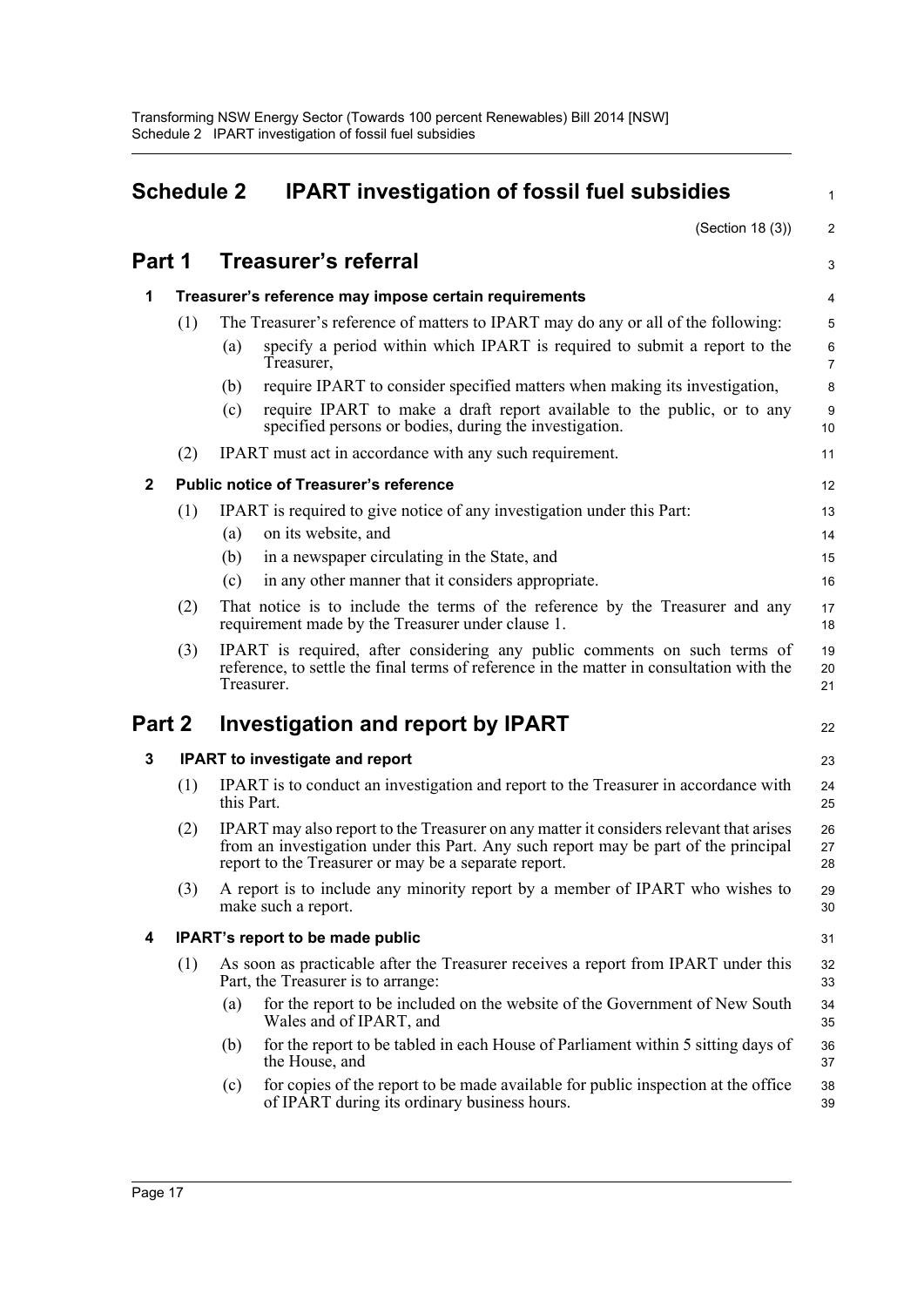<span id="page-21-0"></span>

| <b>Schedule 2</b> |     |            | <b>IPART investigation of fossil fuel subsidies</b>                                                                                                                                                                                   |                     |  |  |  |
|-------------------|-----|------------|---------------------------------------------------------------------------------------------------------------------------------------------------------------------------------------------------------------------------------------|---------------------|--|--|--|
| Part 1            |     |            | (Section 18 (3))                                                                                                                                                                                                                      | $\overline{2}$      |  |  |  |
|                   |     |            | <b>Treasurer's referral</b>                                                                                                                                                                                                           | 3                   |  |  |  |
| 1                 |     |            | Treasurer's reference may impose certain requirements                                                                                                                                                                                 |                     |  |  |  |
|                   | (1) |            | The Treasurer's reference of matters to IPART may do any or all of the following:                                                                                                                                                     | 5                   |  |  |  |
|                   |     | (a)        | specify a period within which IPART is required to submit a report to the<br>Treasurer,                                                                                                                                               | 6<br>$\overline{7}$ |  |  |  |
|                   |     | (b)        | require IPART to consider specified matters when making its investigation,                                                                                                                                                            | 8                   |  |  |  |
|                   |     | (c)        | require IPART to make a draft report available to the public, or to any<br>specified persons or bodies, during the investigation.                                                                                                     | 9<br>10             |  |  |  |
|                   | (2) |            | <b>IPART</b> must act in accordance with any such requirement.                                                                                                                                                                        | 11                  |  |  |  |
| $\mathbf{2}$      |     |            | <b>Public notice of Treasurer's reference</b>                                                                                                                                                                                         | 12                  |  |  |  |
|                   | (1) |            | IPART is required to give notice of any investigation under this Part:                                                                                                                                                                | 13                  |  |  |  |
|                   |     | (a)        | on its website, and                                                                                                                                                                                                                   | 14                  |  |  |  |
|                   |     | (b)        | in a newspaper circulating in the State, and                                                                                                                                                                                          | 15                  |  |  |  |
|                   |     | (c)        | in any other manner that it considers appropriate.                                                                                                                                                                                    | 16                  |  |  |  |
|                   | (2) |            | That notice is to include the terms of the reference by the Treasurer and any<br>requirement made by the Treasurer under clause 1.                                                                                                    | 17<br>18            |  |  |  |
|                   | (3) |            | IPART is required, after considering any public comments on such terms of<br>reference, to settle the final terms of reference in the matter in consultation with the<br>Treasurer.                                                   | 19<br>20<br>21      |  |  |  |
| Part 2            |     |            | <b>Investigation and report by IPART</b>                                                                                                                                                                                              | 22                  |  |  |  |
| 3                 |     |            | <b>IPART</b> to investigate and report                                                                                                                                                                                                | 23                  |  |  |  |
|                   | (1) | this Part. | IPART is to conduct an investigation and report to the Treasurer in accordance with                                                                                                                                                   | 24<br>25            |  |  |  |
|                   | (2) |            | IPART may also report to the Treasurer on any matter it considers relevant that arises<br>from an investigation under this Part. Any such report may be part of the principal<br>report to the Treasurer or may be a separate report. | 26<br>27<br>28      |  |  |  |
|                   | (3) |            | A report is to include any minority report by a member of IPART who wishes to<br>make such a report.                                                                                                                                  | 29<br>30            |  |  |  |
| 4                 |     |            | IPART's report to be made public                                                                                                                                                                                                      | 31                  |  |  |  |
|                   | (1) |            | As soon as practicable after the Treasurer receives a report from IPART under this<br>Part, the Treasurer is to arrange:                                                                                                              | 32<br>33            |  |  |  |
|                   |     | (a)        | for the report to be included on the website of the Government of New South<br>Wales and of IPART, and                                                                                                                                | 34<br>35            |  |  |  |
|                   |     | (b)        | for the report to be tabled in each House of Parliament within 5 sitting days of<br>the House, and                                                                                                                                    | 36<br>37            |  |  |  |
|                   |     | (c)        | for copies of the report to be made available for public inspection at the office<br>of IPART during its ordinary business hours.                                                                                                     | 38<br>39            |  |  |  |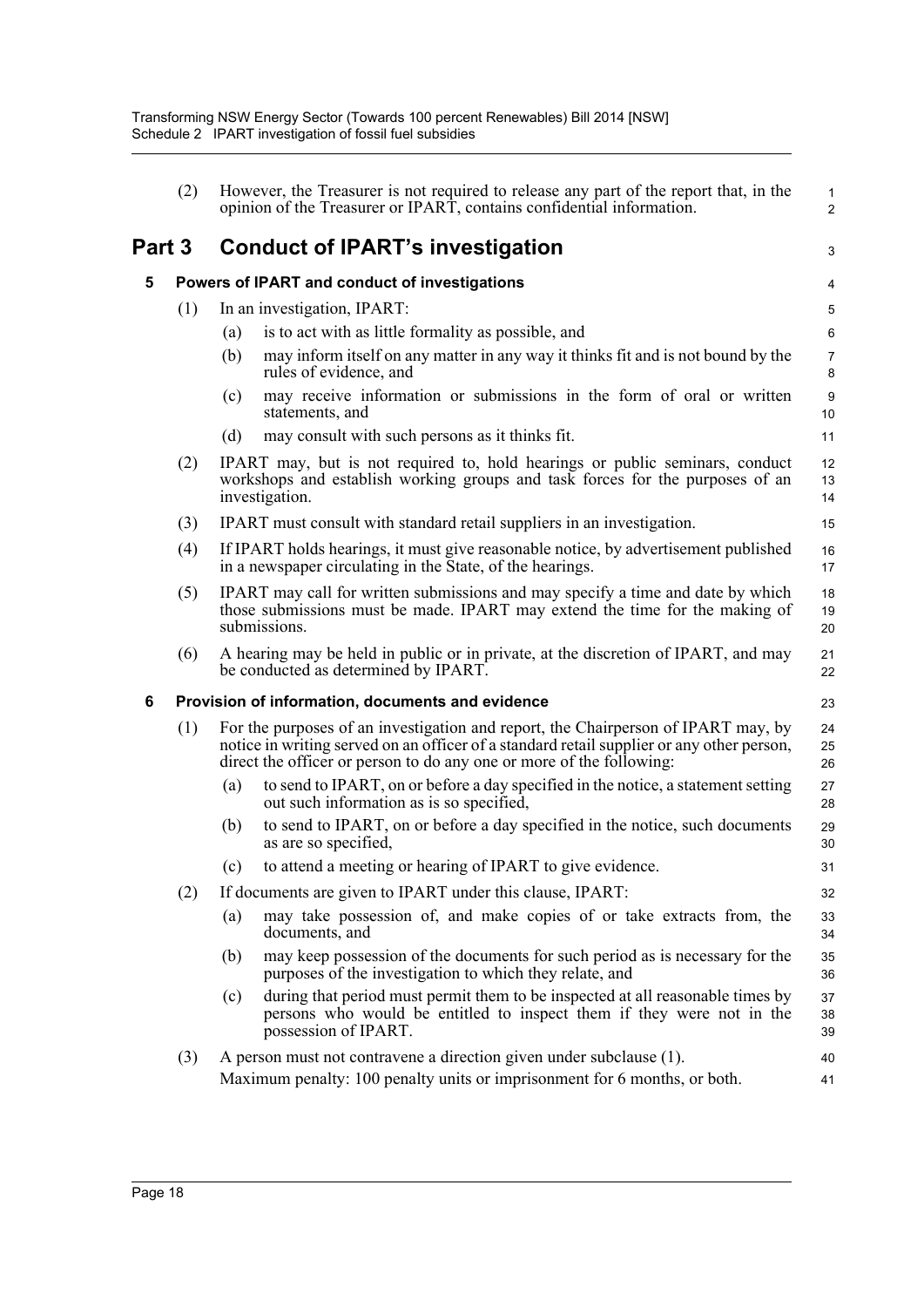|        | (2) | However, the Treasurer is not required to release any part of the report that, in the<br>opinion of the Treasurer or IPART, contains confidential information.                                                                                         | 1<br>$\overline{\mathbf{c}}$ |
|--------|-----|--------------------------------------------------------------------------------------------------------------------------------------------------------------------------------------------------------------------------------------------------------|------------------------------|
| Part 3 |     | <b>Conduct of IPART's investigation</b>                                                                                                                                                                                                                | 3                            |
| 5      |     | Powers of IPART and conduct of investigations                                                                                                                                                                                                          | 4                            |
|        | (1) | In an investigation, IPART:                                                                                                                                                                                                                            | 5                            |
|        |     | is to act with as little formality as possible, and<br>(a)                                                                                                                                                                                             | 6                            |
|        |     | may inform itself on any matter in any way it thinks fit and is not bound by the<br>(b)<br>rules of evidence, and                                                                                                                                      | 7<br>8                       |
|        |     | may receive information or submissions in the form of oral or written<br>(c)<br>statements, and                                                                                                                                                        | 9<br>10                      |
|        |     | (d)<br>may consult with such persons as it thinks fit.                                                                                                                                                                                                 | 11                           |
|        | (2) | IPART may, but is not required to, hold hearings or public seminars, conduct<br>workshops and establish working groups and task forces for the purposes of an<br>investigation.                                                                        | 12<br>13<br>14               |
|        | (3) | IPART must consult with standard retail suppliers in an investigation.                                                                                                                                                                                 | 15                           |
|        | (4) | If IPART holds hearings, it must give reasonable notice, by advertisement published<br>in a newspaper circulating in the State, of the hearings.                                                                                                       | 16<br>17                     |
|        | (5) | IPART may call for written submissions and may specify a time and date by which<br>those submissions must be made. IPART may extend the time for the making of<br>submissions.                                                                         | 18<br>19<br>20               |
|        | (6) | A hearing may be held in public or in private, at the discretion of IPART, and may<br>be conducted as determined by IPART.                                                                                                                             | 21<br>22                     |
| 6      |     | Provision of information, documents and evidence                                                                                                                                                                                                       | 23                           |
|        | (1) | For the purposes of an investigation and report, the Chairperson of IPART may, by<br>notice in writing served on an officer of a standard retail supplier or any other person,<br>direct the officer or person to do any one or more of the following: | 24<br>25<br>26               |
|        |     | to send to IPART, on or before a day specified in the notice, a statement setting<br>(a)<br>out such information as is so specified,                                                                                                                   | 27<br>28                     |
|        |     | to send to IPART, on or before a day specified in the notice, such documents<br>(b)<br>as are so specified,                                                                                                                                            | 29<br>30                     |
|        |     | to attend a meeting or hearing of IPART to give evidence.<br>(c)                                                                                                                                                                                       | 31                           |
|        | (2) | If documents are given to IPART under this clause, IPART:                                                                                                                                                                                              | 32                           |
|        |     | may take possession of, and make copies of or take extracts from, the<br>(a)<br>documents, and                                                                                                                                                         | 33<br>34                     |
|        |     | may keep possession of the documents for such period as is necessary for the<br>(b)<br>purposes of the investigation to which they relate, and                                                                                                         | 35<br>36                     |
|        |     | during that period must permit them to be inspected at all reasonable times by<br>(c)<br>persons who would be entitled to inspect them if they were not in the<br>possession of IPART.                                                                 | 37<br>38<br>39               |
|        | (3) | A person must not contravene a direction given under subclause (1).<br>Maximum penalty: 100 penalty units or imprisonment for 6 months, or both.                                                                                                       | 40<br>41                     |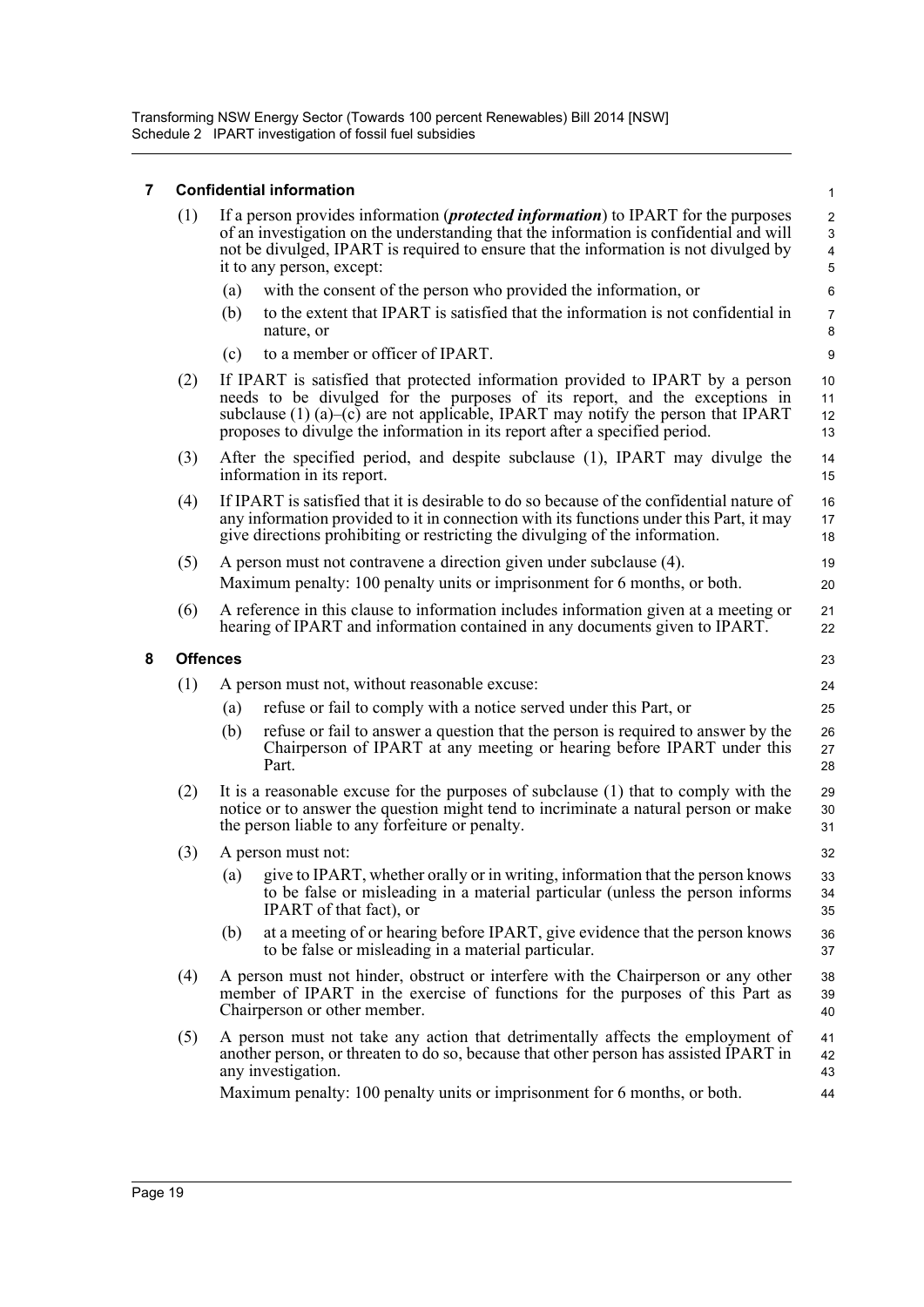Transforming NSW Energy Sector (Towards 100 percent Renewables) Bill 2014 [NSW] Schedule 2 IPART investigation of fossil fuel subsidies

### **7 Confidential information**

| 7 |                 | <b>Confidential information</b>                                                                                                                                                                                                                                                                                                   | $\mathbf{1}$         |  |  |  |  |
|---|-----------------|-----------------------------------------------------------------------------------------------------------------------------------------------------------------------------------------------------------------------------------------------------------------------------------------------------------------------------------|----------------------|--|--|--|--|
|   | (1)             | If a person provides information <i>(protected information</i> ) to IPART for the purposes<br>of an investigation on the understanding that the information is confidential and will<br>not be divulged, IPART is required to ensure that the information is not divulged by<br>it to any person, except:                         |                      |  |  |  |  |
|   |                 | with the consent of the person who provided the information, or<br>(a)                                                                                                                                                                                                                                                            | $\,6\,$              |  |  |  |  |
|   |                 | to the extent that IPART is satisfied that the information is not confidential in<br>(b)<br>nature, or                                                                                                                                                                                                                            | $\overline{7}$<br>8  |  |  |  |  |
|   |                 | to a member or officer of IPART.<br>(c)                                                                                                                                                                                                                                                                                           | 9                    |  |  |  |  |
|   | (2)             | If IPART is satisfied that protected information provided to IPART by a person<br>needs to be divulged for the purposes of its report, and the exceptions in<br>subclause $(1)$ (a)–(c) are not applicable, IPART may notify the person that IPART<br>proposes to divulge the information in its report after a specified period. | 10<br>11<br>12<br>13 |  |  |  |  |
|   | (3)             | After the specified period, and despite subclause (1), IPART may divulge the<br>information in its report.                                                                                                                                                                                                                        | 14<br>15             |  |  |  |  |
|   | (4)             | If IPART is satisfied that it is desirable to do so because of the confidential nature of<br>any information provided to it in connection with its functions under this Part, it may<br>give directions prohibiting or restricting the divulging of the information.                                                              | 16<br>17<br>18       |  |  |  |  |
|   | (5)             | A person must not contravene a direction given under subclause (4).<br>Maximum penalty: 100 penalty units or imprisonment for 6 months, or both.                                                                                                                                                                                  | 19<br>20             |  |  |  |  |
|   | (6)             | A reference in this clause to information includes information given at a meeting or<br>hearing of IPART and information contained in any documents given to IPART.                                                                                                                                                               | 21<br>22             |  |  |  |  |
| 8 | <b>Offences</b> |                                                                                                                                                                                                                                                                                                                                   | 23                   |  |  |  |  |
|   | (1)             | A person must not, without reasonable excuse:                                                                                                                                                                                                                                                                                     | 24                   |  |  |  |  |
|   |                 | refuse or fail to comply with a notice served under this Part, or<br>(a)                                                                                                                                                                                                                                                          | 25                   |  |  |  |  |
|   |                 | (b)<br>refuse or fail to answer a question that the person is required to answer by the<br>Chairperson of IPART at any meeting or hearing before IPART under this<br>Part.                                                                                                                                                        | 26<br>27<br>28       |  |  |  |  |
|   | (2)             | It is a reasonable excuse for the purposes of subclause (1) that to comply with the<br>notice or to answer the question might tend to incriminate a natural person or make<br>the person liable to any forfeiture or penalty.                                                                                                     | 29<br>30<br>31       |  |  |  |  |
|   | (3)             | A person must not:                                                                                                                                                                                                                                                                                                                | 32                   |  |  |  |  |
|   |                 | give to IPART, whether orally or in writing, information that the person knows<br>(a)<br>to be false or misleading in a material particular (unless the person informs<br>IPART of that fact), or                                                                                                                                 | 33<br>34<br>35       |  |  |  |  |
|   |                 | at a meeting of or hearing before IPART, give evidence that the person knows<br>(b)<br>to be false or misleading in a material particular.                                                                                                                                                                                        | 36<br>37             |  |  |  |  |
|   | (4)             | A person must not hinder, obstruct or interfere with the Chairperson or any other<br>member of IPART in the exercise of functions for the purposes of this Part as<br>Chairperson or other member.                                                                                                                                | 38<br>39<br>40       |  |  |  |  |
|   | (5)             | A person must not take any action that detrimentally affects the employment of<br>another person, or threaten to do so, because that other person has assisted IPART in<br>any investigation.                                                                                                                                     | 41<br>42<br>43       |  |  |  |  |
|   |                 | Maximum penalty: 100 penalty units or imprisonment for 6 months, or both.                                                                                                                                                                                                                                                         | 44                   |  |  |  |  |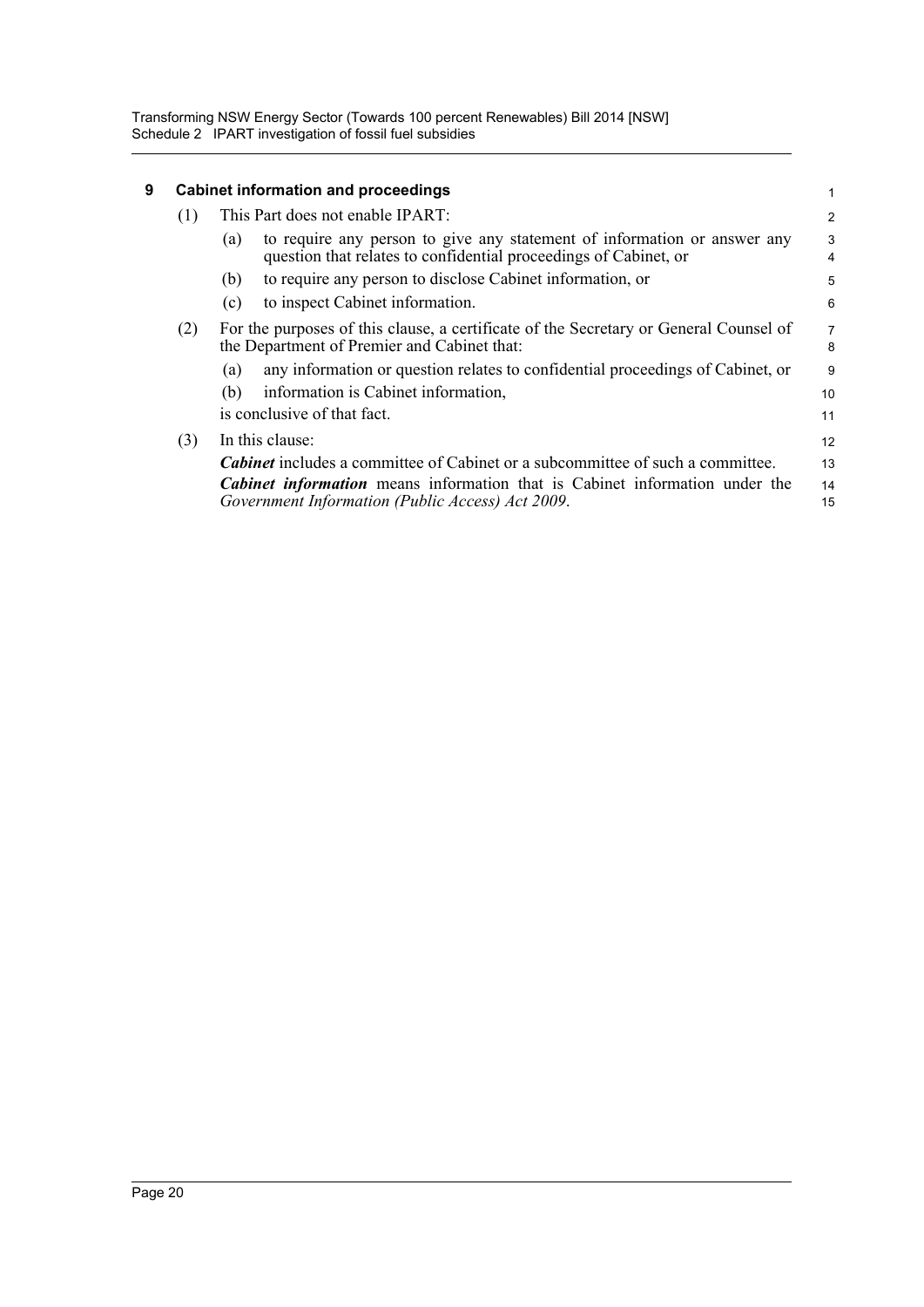Transforming NSW Energy Sector (Towards 100 percent Renewables) Bill 2014 [NSW] Schedule 2 IPART investigation of fossil fuel subsidies

| 9 |     | <b>Cabinet information and proceedings</b>                                                                                                          |                |  |  |  |
|---|-----|-----------------------------------------------------------------------------------------------------------------------------------------------------|----------------|--|--|--|
|   | (1) | This Part does not enable IPART:                                                                                                                    | $\overline{c}$ |  |  |  |
|   |     | to require any person to give any statement of information or answer any<br>(a)<br>question that relates to confidential proceedings of Cabinet, or | 3<br>4         |  |  |  |
|   |     | to require any person to disclose Cabinet information, or<br>(b)                                                                                    | 5              |  |  |  |
|   |     | to inspect Cabinet information.<br>(c)                                                                                                              | 6              |  |  |  |
|   | (2) | For the purposes of this clause, a certificate of the Secretary or General Counsel of<br>the Department of Premier and Cabinet that:                | 7<br>8         |  |  |  |
|   |     | any information or question relates to confidential proceedings of Cabinet, or<br>(a)                                                               | 9              |  |  |  |
|   |     | information is Cabinet information,<br>(b)                                                                                                          | 10             |  |  |  |
|   |     | is conclusive of that fact.                                                                                                                         | 11             |  |  |  |
|   | (3) | In this clause:                                                                                                                                     | 12             |  |  |  |
|   |     | <b>Cabinet</b> includes a committee of Cabinet or a subcommittee of such a committee.                                                               | 13             |  |  |  |
|   |     | <b>Cabinet information</b> means information that is Cabinet information under the<br>Government Information (Public Access) Act 2009.              | 14<br>15       |  |  |  |
|   |     |                                                                                                                                                     |                |  |  |  |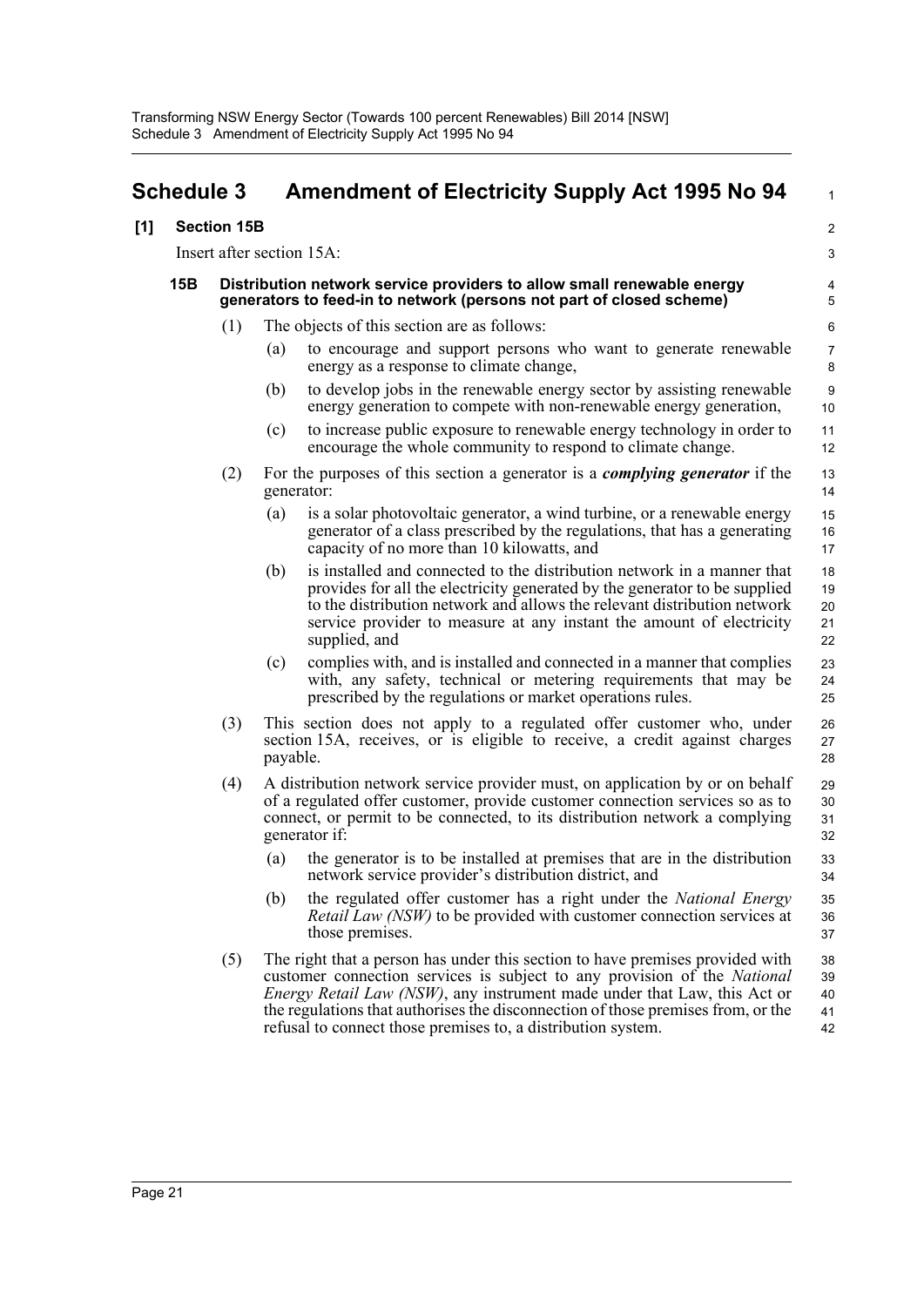<span id="page-25-0"></span>

| <b>Schedule 3</b> |     |                           | <b>Amendment of Electricity Supply Act 1995 No 94</b> | $\mathbf{1}$                                                                                                                                                                                                                                                                                                                                                                                      |                            |
|-------------------|-----|---------------------------|-------------------------------------------------------|---------------------------------------------------------------------------------------------------------------------------------------------------------------------------------------------------------------------------------------------------------------------------------------------------------------------------------------------------------------------------------------------------|----------------------------|
| [1]               |     | <b>Section 15B</b>        |                                                       |                                                                                                                                                                                                                                                                                                                                                                                                   | $\overline{2}$             |
|                   |     | Insert after section 15A: |                                                       |                                                                                                                                                                                                                                                                                                                                                                                                   | 3                          |
|                   | 15B |                           |                                                       | Distribution network service providers to allow small renewable energy<br>generators to feed-in to network (persons not part of closed scheme)                                                                                                                                                                                                                                                    | 4<br>5                     |
|                   |     | (1)                       |                                                       | The objects of this section are as follows:                                                                                                                                                                                                                                                                                                                                                       | 6                          |
|                   |     |                           | (a)                                                   | to encourage and support persons who want to generate renewable<br>energy as a response to climate change,                                                                                                                                                                                                                                                                                        | 7<br>8                     |
|                   |     |                           | (b)                                                   | to develop jobs in the renewable energy sector by assisting renewable<br>energy generation to compete with non-renewable energy generation,                                                                                                                                                                                                                                                       | $\boldsymbol{9}$<br>10     |
|                   |     |                           | (c)                                                   | to increase public exposure to renewable energy technology in order to<br>encourage the whole community to respond to climate change.                                                                                                                                                                                                                                                             | 11<br>12                   |
|                   |     | (2)                       |                                                       | For the purposes of this section a generator is a <i>complying generator</i> if the<br>generator:                                                                                                                                                                                                                                                                                                 | 13<br>14                   |
|                   |     |                           | (a)                                                   | is a solar photovoltaic generator, a wind turbine, or a renewable energy<br>generator of a class prescribed by the regulations, that has a generating<br>capacity of no more than 10 kilowatts, and                                                                                                                                                                                               | 15<br>16<br>17             |
|                   |     |                           | (b)                                                   | is installed and connected to the distribution network in a manner that<br>provides for all the electricity generated by the generator to be supplied<br>to the distribution network and allows the relevant distribution network<br>service provider to measure at any instant the amount of electricity<br>supplied, and                                                                        | 18<br>19<br>20<br>21<br>22 |
|                   |     |                           | (c)                                                   | complies with, and is installed and connected in a manner that complies<br>with, any safety, technical or metering requirements that may be<br>prescribed by the regulations or market operations rules.                                                                                                                                                                                          | 23<br>24<br>25             |
|                   |     | (3)                       | payable.                                              | This section does not apply to a regulated offer customer who, under<br>section 15A, receives, or is eligible to receive, a credit against charges                                                                                                                                                                                                                                                | 26<br>27<br>28             |
|                   |     | (4)                       |                                                       | A distribution network service provider must, on application by or on behalf<br>of a regulated offer customer, provide customer connection services so as to<br>connect, or permit to be connected, to its distribution network a complying<br>generator if:                                                                                                                                      | 29<br>30<br>31<br>32       |
|                   |     |                           | (a)                                                   | the generator is to be installed at premises that are in the distribution<br>network service provider's distribution district, and                                                                                                                                                                                                                                                                | 33<br>34                   |
|                   |     |                           | (b)                                                   | the regulated offer customer has a right under the National Energy<br><i>Retail Law (NSW)</i> to be provided with customer connection services at<br>those premises.                                                                                                                                                                                                                              | 35<br>36<br>37             |
|                   |     | (5)                       |                                                       | The right that a person has under this section to have premises provided with<br>customer connection services is subject to any provision of the National<br><i>Energy Retail Law (NSW)</i> , any instrument made under that Law, this Act or<br>the regulations that authorises the disconnection of those premises from, or the<br>refusal to connect those premises to, a distribution system. | 38<br>39<br>40<br>41<br>42 |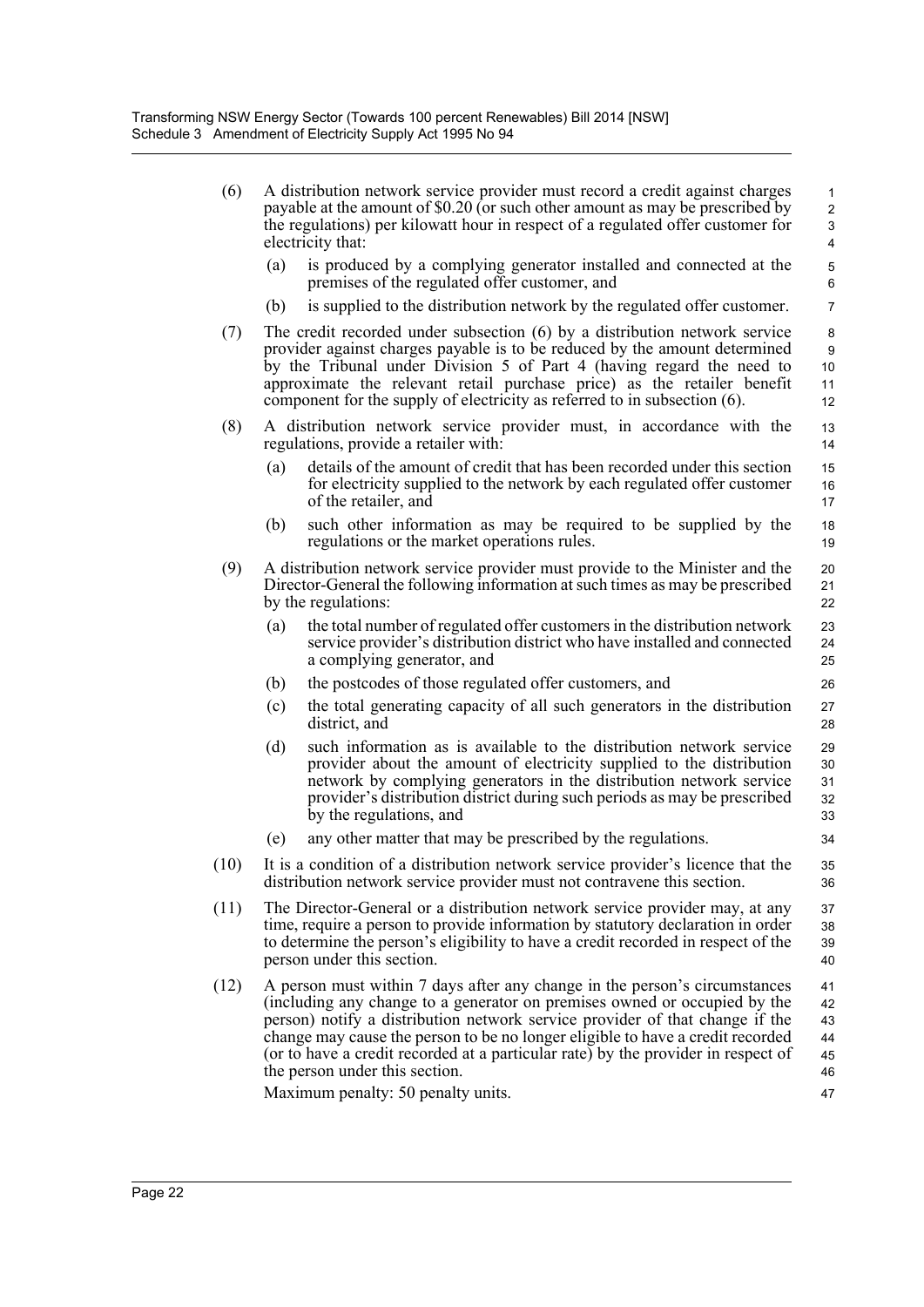| (6)  |     | A distribution network service provider must record a credit against charges<br>payable at the amount of \$0.20 (or such other amount as may be prescribed by<br>the regulations) per kilowatt hour in respect of a regulated offer customer for<br>electricity that:                                                                                                                                                                                                                  | $\mathbf{1}$<br>$\overline{c}$<br>3<br>4 |
|------|-----|----------------------------------------------------------------------------------------------------------------------------------------------------------------------------------------------------------------------------------------------------------------------------------------------------------------------------------------------------------------------------------------------------------------------------------------------------------------------------------------|------------------------------------------|
|      | (a) | is produced by a complying generator installed and connected at the<br>premises of the regulated offer customer, and                                                                                                                                                                                                                                                                                                                                                                   | $\mathbf 5$<br>6                         |
|      | (b) | is supplied to the distribution network by the regulated offer customer.                                                                                                                                                                                                                                                                                                                                                                                                               | $\overline{7}$                           |
| (7)  |     | The credit recorded under subsection (6) by a distribution network service<br>provider against charges payable is to be reduced by the amount determined<br>by the Tribunal under Division 5 of Part 4 (having regard the need to<br>approximate the relevant retail purchase price) as the retailer benefit<br>component for the supply of electricity as referred to in subsection (6).                                                                                              | 8<br>9<br>10<br>11<br>12                 |
| (8)  |     | A distribution network service provider must, in accordance with the<br>regulations, provide a retailer with:                                                                                                                                                                                                                                                                                                                                                                          | 13<br>14                                 |
|      | (a) | details of the amount of credit that has been recorded under this section<br>for electricity supplied to the network by each regulated offer customer<br>of the retailer, and                                                                                                                                                                                                                                                                                                          | 15<br>16<br>17                           |
|      | (b) | such other information as may be required to be supplied by the<br>regulations or the market operations rules.                                                                                                                                                                                                                                                                                                                                                                         | 18<br>19                                 |
| (9)  |     | A distribution network service provider must provide to the Minister and the<br>Director-General the following information at such times as may be prescribed<br>by the regulations:                                                                                                                                                                                                                                                                                                   | 20<br>21<br>22                           |
|      | (a) | the total number of regulated offer customers in the distribution network<br>service provider's distribution district who have installed and connected<br>a complying generator, and                                                                                                                                                                                                                                                                                                   | 23<br>24<br>25                           |
|      | (b) | the postcodes of those regulated offer customers, and                                                                                                                                                                                                                                                                                                                                                                                                                                  | 26                                       |
|      | (c) | the total generating capacity of all such generators in the distribution<br>district, and                                                                                                                                                                                                                                                                                                                                                                                              | 27<br>28                                 |
|      | (d) | such information as is available to the distribution network service<br>provider about the amount of electricity supplied to the distribution<br>network by complying generators in the distribution network service<br>provider's distribution district during such periods as may be prescribed<br>by the regulations, and                                                                                                                                                           | 29<br>30<br>31<br>32<br>33               |
|      | (e) | any other matter that may be prescribed by the regulations.                                                                                                                                                                                                                                                                                                                                                                                                                            | 34                                       |
| (10) |     | It is a condition of a distribution network service provider's licence that the<br>distribution network service provider must not contravene this section.                                                                                                                                                                                                                                                                                                                             | 35<br>36                                 |
| (11) |     | The Director-General or a distribution network service provider may, at any<br>time, require a person to provide information by statutory declaration in order<br>to determine the person's eligibility to have a credit recorded in respect of the<br>person under this section.                                                                                                                                                                                                      | 37<br>38<br>39<br>40                     |
| (12) |     | A person must within 7 days after any change in the person's circumstances<br>(including any change to a generator on premises owned or occupied by the<br>person) notify a distribution network service provider of that change if the<br>change may cause the person to be no longer eligible to have a credit recorded<br>(or to have a credit recorded at a particular rate) by the provider in respect of<br>the person under this section.<br>Maximum penalty: 50 penalty units. | 41<br>42<br>43<br>44<br>45<br>46<br>47   |